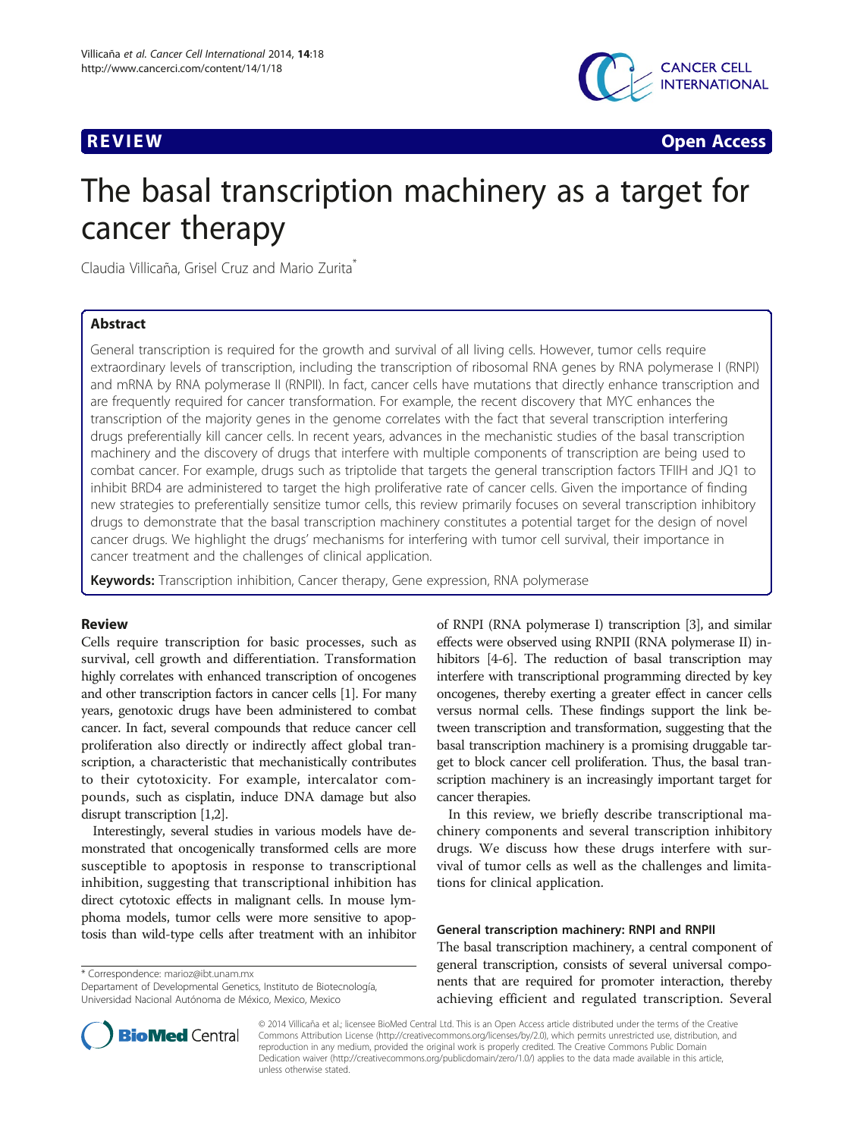

**REVIEW CONSTRUCTION CONSTRUCTION CONSTRUCTS** 

# The basal transcription machinery as a target for cancer therapy

Claudia Villicaña, Grisel Cruz and Mario Zurita\*

# Abstract

General transcription is required for the growth and survival of all living cells. However, tumor cells require extraordinary levels of transcription, including the transcription of ribosomal RNA genes by RNA polymerase I (RNPI) and mRNA by RNA polymerase II (RNPII). In fact, cancer cells have mutations that directly enhance transcription and are frequently required for cancer transformation. For example, the recent discovery that MYC enhances the transcription of the majority genes in the genome correlates with the fact that several transcription interfering drugs preferentially kill cancer cells. In recent years, advances in the mechanistic studies of the basal transcription machinery and the discovery of drugs that interfere with multiple components of transcription are being used to combat cancer. For example, drugs such as triptolide that targets the general transcription factors TFIIH and JQ1 to inhibit BRD4 are administered to target the high proliferative rate of cancer cells. Given the importance of finding new strategies to preferentially sensitize tumor cells, this review primarily focuses on several transcription inhibitory drugs to demonstrate that the basal transcription machinery constitutes a potential target for the design of novel cancer drugs. We highlight the drugs' mechanisms for interfering with tumor cell survival, their importance in cancer treatment and the challenges of clinical application.

Keywords: Transcription inhibition, Cancer therapy, Gene expression, RNA polymerase

#### Review

Cells require transcription for basic processes, such as survival, cell growth and differentiation. Transformation highly correlates with enhanced transcription of oncogenes and other transcription factors in cancer cells [\[1\]](#page-11-0). For many years, genotoxic drugs have been administered to combat cancer. In fact, several compounds that reduce cancer cell proliferation also directly or indirectly affect global transcription, a characteristic that mechanistically contributes to their cytotoxicity. For example, intercalator compounds, such as cisplatin, induce DNA damage but also disrupt transcription [[1,2](#page-11-0)].

Interestingly, several studies in various models have demonstrated that oncogenically transformed cells are more susceptible to apoptosis in response to transcriptional inhibition, suggesting that transcriptional inhibition has direct cytotoxic effects in malignant cells. In mouse lymphoma models, tumor cells were more sensitive to apoptosis than wild-type cells after treatment with an inhibitor

\* Correspondence: [marioz@ibt.unam.mx](mailto:marioz@ibt.unam.mx)

Departament of Developmental Genetics, Instituto de Biotecnología, Universidad Nacional Autónoma de México, Mexico, Mexico



In this review, we briefly describe transcriptional machinery components and several transcription inhibitory drugs. We discuss how these drugs interfere with survival of tumor cells as well as the challenges and limitations for clinical application.

#### General transcription machinery: RNPI and RNPII

The basal transcription machinery, a central component of general transcription, consists of several universal components that are required for promoter interaction, thereby achieving efficient and regulated transcription. Several



© 2014 Villicaña et al.; licensee BioMed Central Ltd. This is an Open Access article distributed under the terms of the Creative Commons Attribution License [\(http://creativecommons.org/licenses/by/2.0\)](http://creativecommons.org/licenses/by/2.0), which permits unrestricted use, distribution, and reproduction in any medium, provided the original work is properly credited. The Creative Commons Public Domain Dedication waiver [\(http://creativecommons.org/publicdomain/zero/1.0/](http://creativecommons.org/publicdomain/zero/1.0/)) applies to the data made available in this article, unless otherwise stated.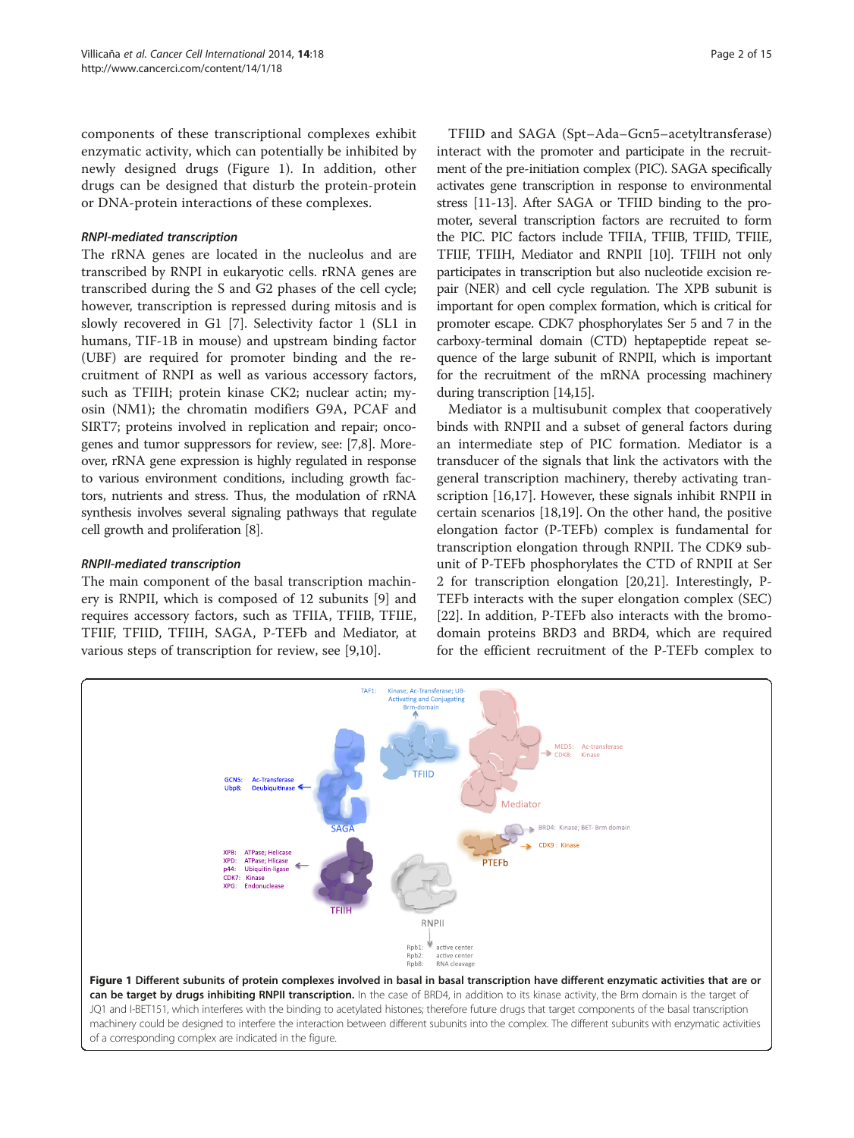components of these transcriptional complexes exhibit enzymatic activity, which can potentially be inhibited by newly designed drugs (Figure 1). In addition, other drugs can be designed that disturb the protein-protein or DNA-protein interactions of these complexes.

# RNPI-mediated transcription

The rRNA genes are located in the nucleolus and are transcribed by RNPI in eukaryotic cells. rRNA genes are transcribed during the S and G2 phases of the cell cycle; however, transcription is repressed during mitosis and is slowly recovered in G1 [\[7](#page-11-0)]. Selectivity factor 1 (SL1 in humans, TIF-1B in mouse) and upstream binding factor (UBF) are required for promoter binding and the recruitment of RNPI as well as various accessory factors, such as TFIIH; protein kinase CK2; nuclear actin; myosin (NM1); the chromatin modifiers G9A, PCAF and SIRT7; proteins involved in replication and repair; oncogenes and tumor suppressors for review, see: [\[7,8\]](#page-11-0). Moreover, rRNA gene expression is highly regulated in response to various environment conditions, including growth factors, nutrients and stress. Thus, the modulation of rRNA synthesis involves several signaling pathways that regulate cell growth and proliferation [[8\]](#page-11-0).

# RNPII-mediated transcription

The main component of the basal transcription machinery is RNPII, which is composed of 12 subunits [[9\]](#page-11-0) and requires accessory factors, such as TFIIA, TFIIB, TFIIE, TFIIF, TFIID, TFIIH, SAGA, P-TEFb and Mediator, at various steps of transcription for review, see [[9](#page-11-0),[10](#page-11-0)].

TFIID and SAGA (Spt–Ada–Gcn5–acetyltransferase) interact with the promoter and participate in the recruitment of the pre-initiation complex (PIC). SAGA specifically activates gene transcription in response to environmental stress [\[11-13\]](#page-11-0). After SAGA or TFIID binding to the promoter, several transcription factors are recruited to form the PIC. PIC factors include TFIIA, TFIIB, TFIID, TFIIE, TFIIF, TFIIH, Mediator and RNPII [[10\]](#page-11-0). TFIIH not only participates in transcription but also nucleotide excision repair (NER) and cell cycle regulation. The XPB subunit is important for open complex formation, which is critical for promoter escape. CDK7 phosphorylates Ser 5 and 7 in the carboxy-terminal domain (CTD) heptapeptide repeat sequence of the large subunit of RNPII, which is important for the recruitment of the mRNA processing machinery during transcription [\[14,15\]](#page-11-0).

Mediator is a multisubunit complex that cooperatively binds with RNPII and a subset of general factors during an intermediate step of PIC formation. Mediator is a transducer of the signals that link the activators with the general transcription machinery, thereby activating transcription [[16,17\]](#page-11-0). However, these signals inhibit RNPII in certain scenarios [\[18,19](#page-11-0)]. On the other hand, the positive elongation factor (P-TEFb) complex is fundamental for transcription elongation through RNPII. The CDK9 subunit of P-TEFb phosphorylates the CTD of RNPII at Ser 2 for transcription elongation [[20](#page-11-0),[21](#page-11-0)]. Interestingly, P-TEFb interacts with the super elongation complex (SEC) [[22\]](#page-11-0). In addition, P-TEFb also interacts with the bromodomain proteins BRD3 and BRD4, which are required for the efficient recruitment of the P-TEFb complex to



of a corresponding complex are indicated in the figure.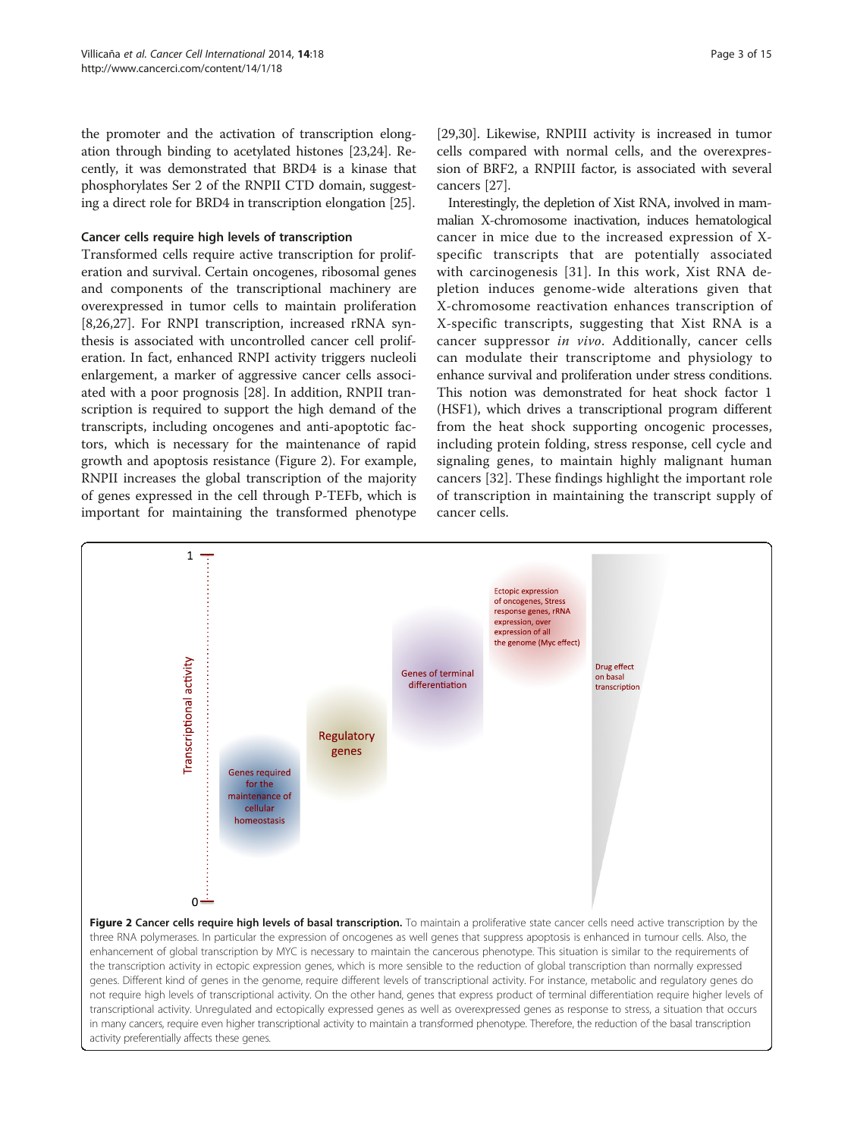the promoter and the activation of transcription elongation through binding to acetylated histones [\[23,24\]](#page-11-0). Recently, it was demonstrated that BRD4 is a kinase that phosphorylates Ser 2 of the RNPII CTD domain, suggesting a direct role for BRD4 in transcription elongation [[25](#page-11-0)].

#### Cancer cells require high levels of transcription

Transformed cells require active transcription for proliferation and survival. Certain oncogenes, ribosomal genes and components of the transcriptional machinery are overexpressed in tumor cells to maintain proliferation [[8,26,27\]](#page-11-0). For RNPI transcription, increased rRNA synthesis is associated with uncontrolled cancer cell proliferation. In fact, enhanced RNPI activity triggers nucleoli enlargement, a marker of aggressive cancer cells associated with a poor prognosis [[28\]](#page-11-0). In addition, RNPII transcription is required to support the high demand of the transcripts, including oncogenes and anti-apoptotic factors, which is necessary for the maintenance of rapid growth and apoptosis resistance (Figure 2). For example, RNPII increases the global transcription of the majority of genes expressed in the cell through P-TEFb, which is important for maintaining the transformed phenotype [[29,30\]](#page-11-0). Likewise, RNPIII activity is increased in tumor cells compared with normal cells, and the overexpression of BRF2, a RNPIII factor, is associated with several cancers [\[27](#page-11-0)].

Interestingly, the depletion of Xist RNA, involved in mammalian X-chromosome inactivation, induces hematological cancer in mice due to the increased expression of Xspecific transcripts that are potentially associated with carcinogenesis [[31](#page-11-0)]. In this work, Xist RNA depletion induces genome-wide alterations given that X-chromosome reactivation enhances transcription of X-specific transcripts, suggesting that Xist RNA is a cancer suppressor in vivo. Additionally, cancer cells can modulate their transcriptome and physiology to enhance survival and proliferation under stress conditions. This notion was demonstrated for heat shock factor 1 (HSF1), which drives a transcriptional program different from the heat shock supporting oncogenic processes, including protein folding, stress response, cell cycle and signaling genes, to maintain highly malignant human cancers [[32\]](#page-11-0). These findings highlight the important role of transcription in maintaining the transcript supply of cancer cells.

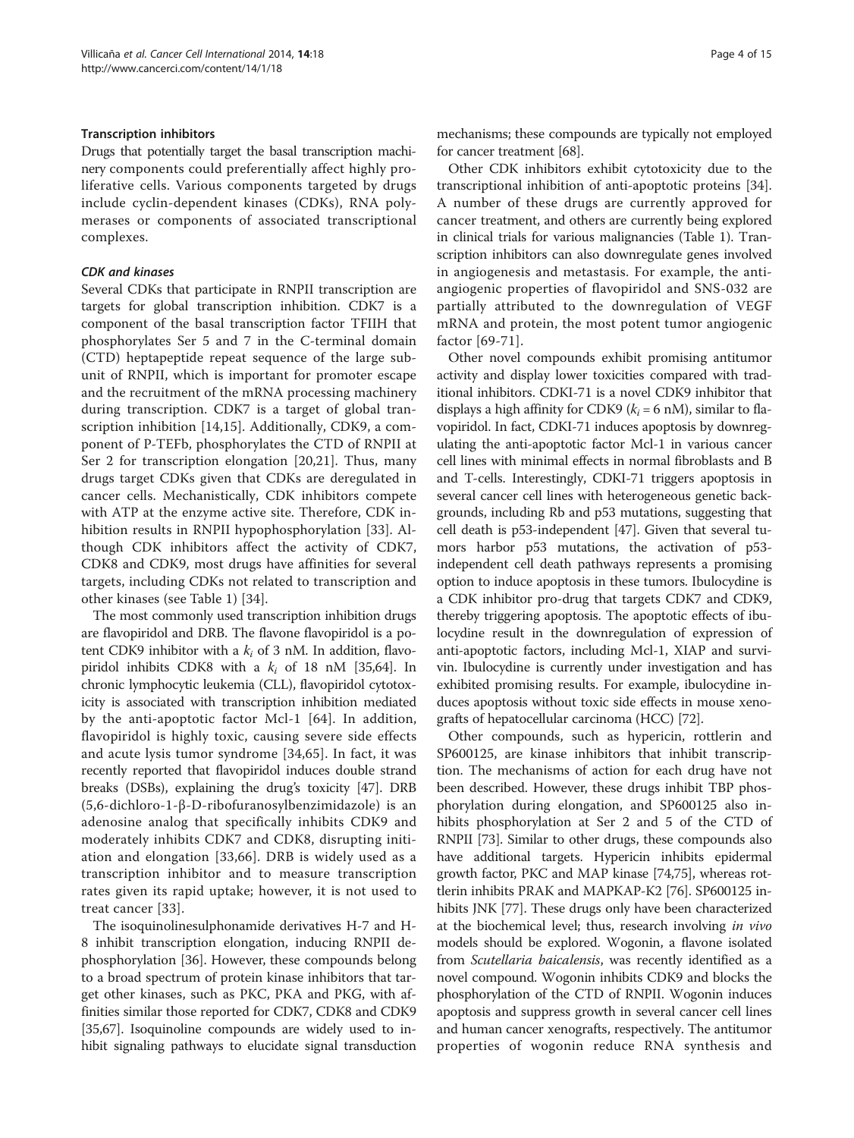#### Transcription inhibitors

Drugs that potentially target the basal transcription machinery components could preferentially affect highly proliferative cells. Various components targeted by drugs include cyclin-dependent kinases (CDKs), RNA polymerases or components of associated transcriptional complexes.

# CDK and kinases

Several CDKs that participate in RNPII transcription are targets for global transcription inhibition. CDK7 is a component of the basal transcription factor TFIIH that phosphorylates Ser 5 and 7 in the C-terminal domain (CTD) heptapeptide repeat sequence of the large subunit of RNPII, which is important for promoter escape and the recruitment of the mRNA processing machinery during transcription. CDK7 is a target of global transcription inhibition [\[14](#page-11-0),[15\]](#page-11-0). Additionally, CDK9, a component of P-TEFb, phosphorylates the CTD of RNPII at Ser 2 for transcription elongation [\[20,21\]](#page-11-0). Thus, many drugs target CDKs given that CDKs are deregulated in cancer cells. Mechanistically, CDK inhibitors compete with ATP at the enzyme active site. Therefore, CDK inhibition results in RNPII hypophosphorylation [[33](#page-11-0)]. Although CDK inhibitors affect the activity of CDK7, CDK8 and CDK9, most drugs have affinities for several targets, including CDKs not related to transcription and other kinases (see Table [1\)](#page-4-0) [[34\]](#page-11-0).

The most commonly used transcription inhibition drugs are flavopiridol and DRB. The flavone flavopiridol is a potent CDK9 inhibitor with a  $k_i$  of 3 nM. In addition, flavopiridol inhibits CDK8 with a  $k_i$  of 18 nM [\[35,64](#page-12-0)]. In chronic lymphocytic leukemia (CLL), flavopiridol cytotoxicity is associated with transcription inhibition mediated by the anti-apoptotic factor Mcl-1 [\[64\]](#page-12-0). In addition, flavopiridol is highly toxic, causing severe side effects and acute lysis tumor syndrome [[34,](#page-11-0)[65](#page-12-0)]. In fact, it was recently reported that flavopiridol induces double strand breaks (DSBs), explaining the drug's toxicity [\[47\]](#page-12-0). DRB (5,6-dichloro-1-β-D-ribofuranosylbenzimidazole) is an adenosine analog that specifically inhibits CDK9 and moderately inhibits CDK7 and CDK8, disrupting initiation and elongation [\[33,](#page-11-0)[66](#page-12-0)]. DRB is widely used as a transcription inhibitor and to measure transcription rates given its rapid uptake; however, it is not used to treat cancer [[33](#page-11-0)].

The isoquinolinesulphonamide derivatives H-7 and H-8 inhibit transcription elongation, inducing RNPII dephosphorylation [\[36\]](#page-12-0). However, these compounds belong to a broad spectrum of protein kinase inhibitors that target other kinases, such as PKC, PKA and PKG, with affinities similar those reported for CDK7, CDK8 and CDK9 [[35,67](#page-12-0)]. Isoquinoline compounds are widely used to inhibit signaling pathways to elucidate signal transduction

mechanisms; these compounds are typically not employed for cancer treatment [\[68](#page-12-0)].

Other CDK inhibitors exhibit cytotoxicity due to the transcriptional inhibition of anti-apoptotic proteins [\[34](#page-11-0)]. A number of these drugs are currently approved for cancer treatment, and others are currently being explored in clinical trials for various malignancies (Table [1\)](#page-4-0). Transcription inhibitors can also downregulate genes involved in angiogenesis and metastasis. For example, the antiangiogenic properties of flavopiridol and SNS-032 are partially attributed to the downregulation of VEGF mRNA and protein, the most potent tumor angiogenic factor [[69-71\]](#page-12-0).

Other novel compounds exhibit promising antitumor activity and display lower toxicities compared with traditional inhibitors. CDKI-71 is a novel CDK9 inhibitor that displays a high affinity for CDK9 ( $k_i = 6$  nM), similar to flavopiridol. In fact, CDKI-71 induces apoptosis by downregulating the anti-apoptotic factor Mcl-1 in various cancer cell lines with minimal effects in normal fibroblasts and B and T-cells. Interestingly, CDKI-71 triggers apoptosis in several cancer cell lines with heterogeneous genetic backgrounds, including Rb and p53 mutations, suggesting that cell death is p53-independent [\[47](#page-12-0)]. Given that several tumors harbor p53 mutations, the activation of p53 independent cell death pathways represents a promising option to induce apoptosis in these tumors. Ibulocydine is a CDK inhibitor pro-drug that targets CDK7 and CDK9, thereby triggering apoptosis. The apoptotic effects of ibulocydine result in the downregulation of expression of anti-apoptotic factors, including Mcl-1, XIAP and survivin. Ibulocydine is currently under investigation and has exhibited promising results. For example, ibulocydine induces apoptosis without toxic side effects in mouse xenografts of hepatocellular carcinoma (HCC) [\[72\]](#page-13-0).

Other compounds, such as hypericin, rottlerin and SP600125, are kinase inhibitors that inhibit transcription. The mechanisms of action for each drug have not been described. However, these drugs inhibit TBP phosphorylation during elongation, and SP600125 also inhibits phosphorylation at Ser 2 and 5 of the CTD of RNPII [\[73\]](#page-13-0). Similar to other drugs, these compounds also have additional targets. Hypericin inhibits epidermal growth factor, PKC and MAP kinase [[74,75\]](#page-13-0), whereas rottlerin inhibits PRAK and MAPKAP-K2 [[76](#page-13-0)]. SP600125 inhibits JNK [[77](#page-13-0)]. These drugs only have been characterized at the biochemical level; thus, research involving in vivo models should be explored. Wogonin, a flavone isolated from Scutellaria baicalensis, was recently identified as a novel compound. Wogonin inhibits CDK9 and blocks the phosphorylation of the CTD of RNPII. Wogonin induces apoptosis and suppress growth in several cancer cell lines and human cancer xenografts, respectively. The antitumor properties of wogonin reduce RNA synthesis and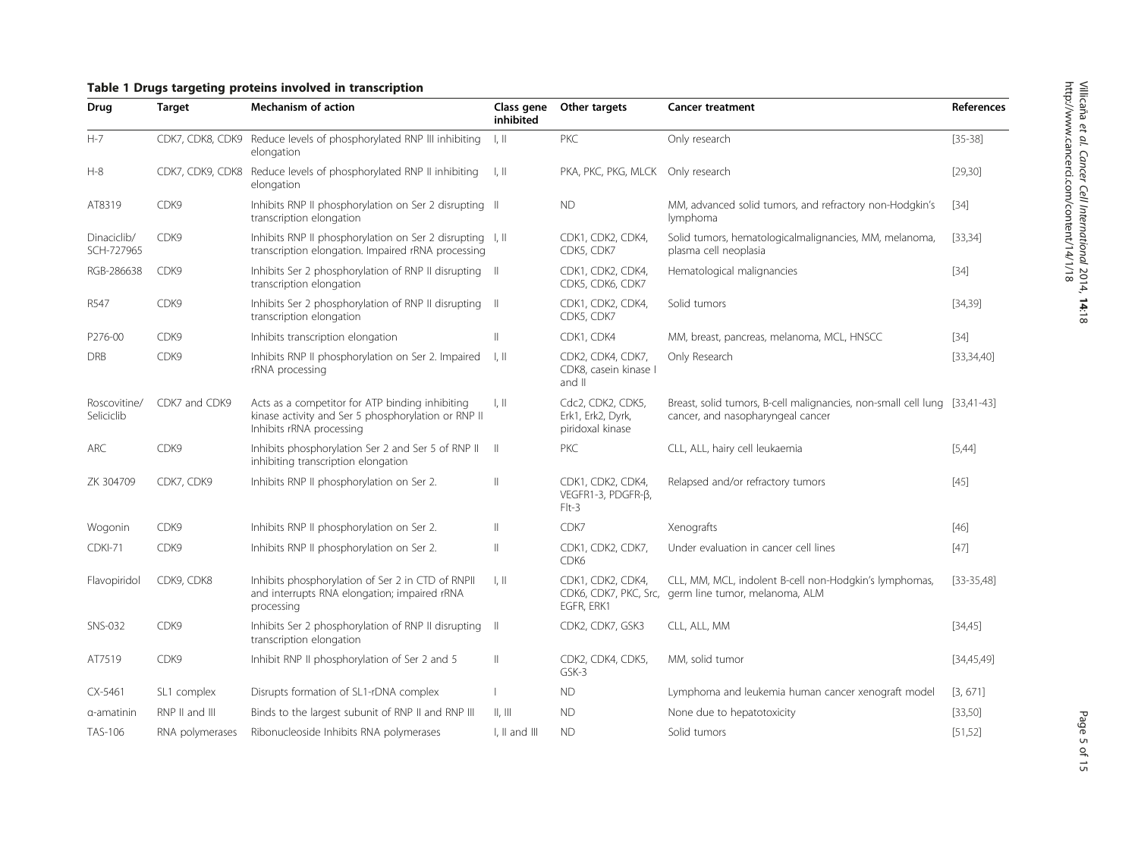# <span id="page-4-0"></span>Table 1 Drugs targeting proteins involved in transcription

| Drug                       | <b>Target</b>    | <b>Mechanism of action</b>                                                                                                         | Class gene<br>inhibited                   | Other targets                                              | <b>Cancer treatment</b>                                                                                        | <b>References</b> |
|----------------------------|------------------|------------------------------------------------------------------------------------------------------------------------------------|-------------------------------------------|------------------------------------------------------------|----------------------------------------------------------------------------------------------------------------|-------------------|
| $H-7$                      |                  | CDK7, CDK8, CDK9 Reduce levels of phosphorylated RNP III inhibiting<br>elongation                                                  | $\parallel$ . $\parallel$                 | <b>PKC</b>                                                 | Only research                                                                                                  | $[35 - 38]$       |
| H-8                        |                  | CDK7, CDK9, CDK8 Reduce levels of phosphorylated RNP II inhibiting<br>elongation                                                   | $\parallel$ . $\parallel$                 | PKA, PKC, PKG, MLCK Only research                          |                                                                                                                | [29,30]           |
| AT8319                     | CDK9             | Inhibits RNP II phosphorylation on Ser 2 disrupting II<br>transcription elongation                                                 |                                           | <b>ND</b>                                                  | MM, advanced solid tumors, and refractory non-Hodgkin's<br>lymphoma                                            | $[34]$            |
| Dinaciclib/<br>SCH-727965  | CDK9             | Inhibits RNP II phosphorylation on Ser 2 disrupting I, II<br>transcription elongation. Impaired rRNA processing                    |                                           | CDK1, CDK2, CDK4,<br>CDK5, CDK7                            | Solid tumors, hematologicalmalignancies, MM, melanoma,<br>plasma cell neoplasia                                | [33, 34]          |
| RGB-286638                 | CDK <sub>9</sub> | Inhibits Ser 2 phosphorylation of RNP II disrupting<br>transcription elongation                                                    | $\parallel$                               | CDK1, CDK2, CDK4,<br>CDK5, CDK6, CDK7                      | Hematological malignancies                                                                                     | $[34]$            |
| R547                       | CDK9             | Inhibits Ser 2 phosphorylation of RNP II disrupting<br>transcription elongation                                                    | $\parallel$                               | CDK1, CDK2, CDK4,<br>CDK5, CDK7                            | Solid tumors                                                                                                   | [34, 39]          |
| P276-00                    | CDK9             | Inhibits transcription elongation                                                                                                  | $\mathbb{I}$                              | CDK1, CDK4                                                 | MM, breast, pancreas, melanoma, MCL, HNSCC                                                                     | $[34]$            |
| <b>DRB</b>                 | CDK9             | Inhibits RNP II phosphorylation on Ser 2. Impaired<br>rRNA processing                                                              | $\parallel$ . $\parallel$                 | CDK2, CDK4, CDK7,<br>CDK8, casein kinase I<br>and II       | Only Research                                                                                                  | [33,34,40]        |
| Roscovitine/<br>Seliciclib | CDK7 and CDK9    | Acts as a competitor for ATP binding inhibiting<br>kinase activity and Ser 5 phosphorylation or RNP II<br>Inhibits rRNA processing | $\parallel$ . $\parallel$                 | Cdc2, CDK2, CDK5,<br>Erk1, Erk2, Dyrk,<br>piridoxal kinase | Breast, solid tumors, B-cell malignancies, non-small cell lung [33,41-43]<br>cancer, and nasopharyngeal cancer |                   |
| ARC                        | CDK9             | Inhibits phosphorylation Ser 2 and Ser 5 of RNP II<br>inhibiting transcription elongation                                          | - II                                      | <b>PKC</b>                                                 | CLL, ALL, hairy cell leukaemia                                                                                 | [5, 44]           |
| ZK 304709                  | CDK7, CDK9       | Inhibits RNP II phosphorylation on Ser 2.                                                                                          | $\mid \mid$                               | CDK1, CDK2, CDK4,<br>VEGFR1-3, PDGFR-ß,<br>$F$ It-3        | Relapsed and/or refractory tumors                                                                              | $[45]$            |
| Wogonin                    | CDK9             | Inhibits RNP II phosphorylation on Ser 2.                                                                                          | $\mathbb{H}$                              | CDK7                                                       | Xenografts                                                                                                     | $[46]$            |
| <b>CDKI-71</b>             | CDK9             | Inhibits RNP II phosphorylation on Ser 2.                                                                                          | $\mathbb{I}$                              | CDK1, CDK2, CDK7,<br>CDK <sub>6</sub>                      | Under evaluation in cancer cell lines                                                                          | $[47]$            |
| Flavopiridol               | CDK9, CDK8       | Inhibits phosphorylation of Ser 2 in CTD of RNPII<br>and interrupts RNA elongation; impaired rRNA<br>processing                    | $\parallel$ , $\parallel$                 | CDK1, CDK2, CDK4,<br>EGFR, ERK1                            | CLL, MM, MCL, indolent B-cell non-Hodgkin's lymphomas,<br>CDK6, CDK7, PKC, Src, germ line tumor, melanoma, ALM | $[33-35,48]$      |
| SNS-032                    | CDK9             | Inhibits Ser 2 phosphorylation of RNP II disrupting<br>transcription elongation                                                    | $\mathbb{I}$                              | CDK2, CDK7, GSK3                                           | CLL, ALL, MM                                                                                                   | [34, 45]          |
| AT7519                     | CDK9             | Inhibit RNP II phosphorylation of Ser 2 and 5                                                                                      | $\mathbb{I}$                              | CDK2, CDK4, CDK5,<br>GSK-3                                 | MM, solid tumor                                                                                                | [34,45,49]        |
| CX-5461                    | SL1 complex      | Disrupts formation of SL1-rDNA complex                                                                                             |                                           | ND.                                                        | Lymphoma and leukemia human cancer xenograft model                                                             | [3, 671]          |
| a-amatinin                 | RNP II and III   | Binds to the largest subunit of RNP II and RNP III                                                                                 | ,                                         | ND.                                                        | None due to hepatotoxicity                                                                                     | [33,50]           |
| TAS-106                    | RNA polymerases  | Ribonucleoside Inhibits RNA polymerases                                                                                            | $\parallel$ , $\parallel$ and $\parallel$ | <b>ND</b>                                                  | Solid tumors                                                                                                   | [51, 52]          |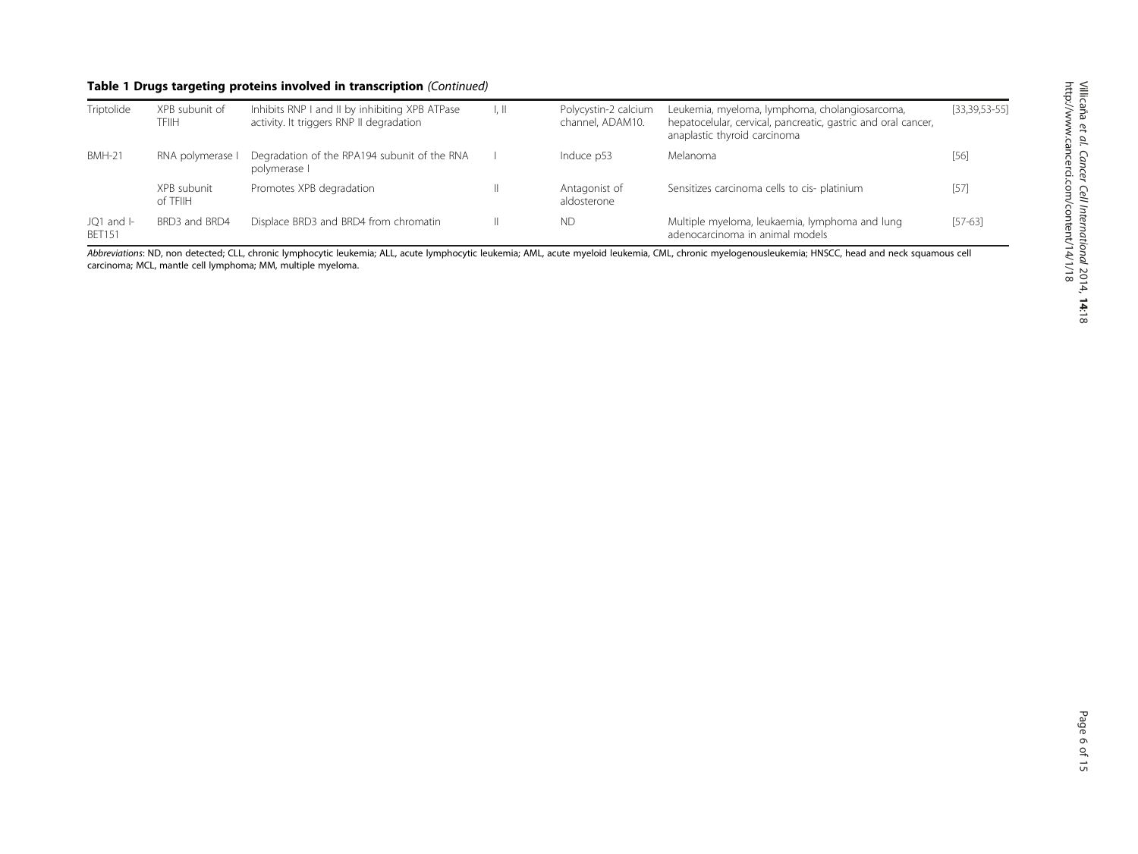# Table 1 Drugs targeting proteins involved in transcription (Continued)

| Triptolide                  | XPB subunit of<br><b>TFIIH</b> | Inhibits RNP I and II by inhibiting XPB ATPase<br>activity. It triggers RNP II degradation | I. II | Polycystin-2 calcium<br>channel, ADAM10. | Leukemia, myeloma, lymphoma, cholangiosarcoma,<br>hepatocelular, cervical, pancreatic, gastric and oral cancer,<br>anaplastic thyroid carcinoma | $[33, 39, 53 - 55]$ |
|-----------------------------|--------------------------------|--------------------------------------------------------------------------------------------|-------|------------------------------------------|-------------------------------------------------------------------------------------------------------------------------------------------------|---------------------|
| <b>BMH-21</b>               | RNA polymerase I               | Degradation of the RPA194 subunit of the RNA<br>polymerase I                               |       | Induce p53                               | Melanoma                                                                                                                                        | $[56]$              |
|                             | XPB subunit<br>of TFIIH        | Promotes XPB degradation                                                                   |       | Antagonist of<br>aldosterone             | Sensitizes carcinoma cells to cis- platinium                                                                                                    | [57]                |
| JQ1 and I-<br><b>BET151</b> | BRD3 and BRD4                  | Displace BRD3 and BRD4 from chromatin                                                      |       | <b>ND</b>                                | Multiple myeloma, leukaemia, lymphoma and lung<br>adenocarcinoma in animal models                                                               | $[57-63]$           |

Abbreviations: ND, non detected; CLL, chronic lymphocytic leukemia; ALL, acute lymphocytic leukemia; AML, acute myeloid leukemia, CML, chronic myelogenousleukemia; HNSCC, head and neck squamous cell carcinoma; MCL, mantle cell lymphoma; MM, multiple myeloma.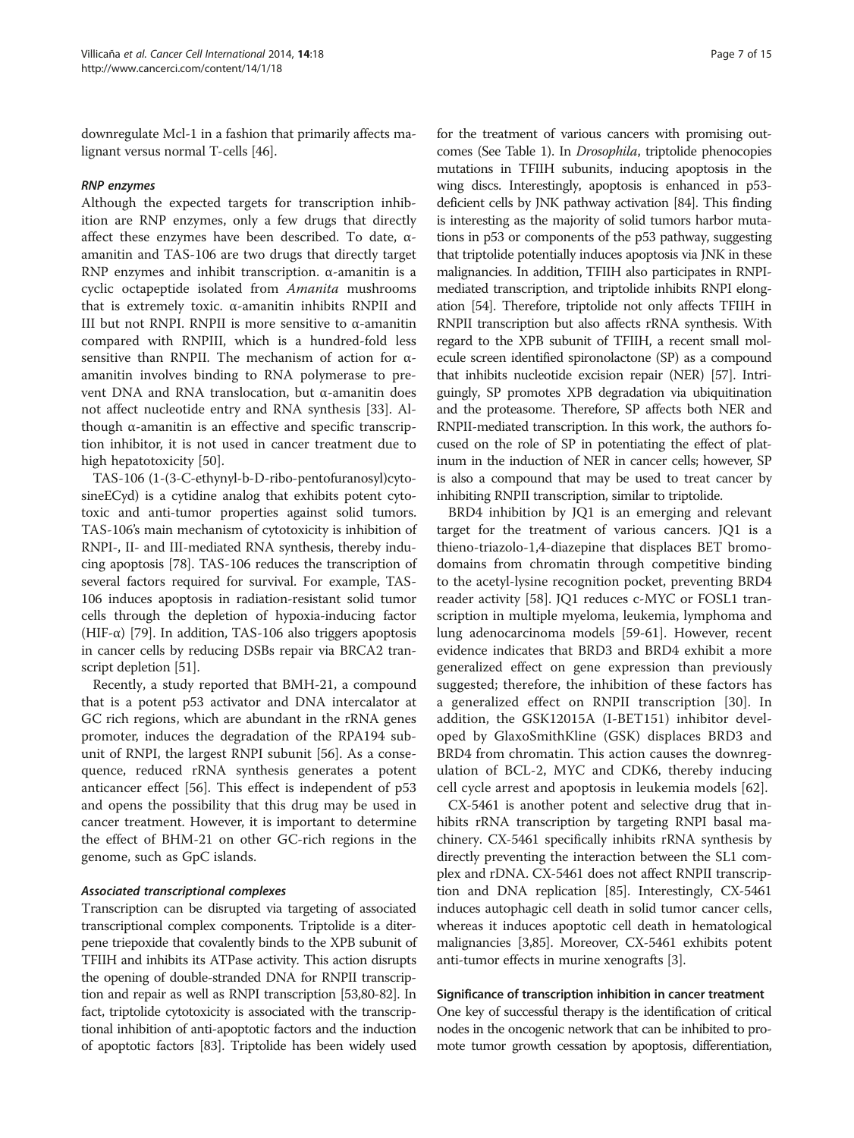downregulate Mcl-1 in a fashion that primarily affects malignant versus normal T-cells [\[46\]](#page-12-0).

#### RNP enzymes

Although the expected targets for transcription inhibition are RNP enzymes, only a few drugs that directly affect these enzymes have been described. To date,  $\alpha$ amanitin and TAS-106 are two drugs that directly target RNP enzymes and inhibit transcription. α-amanitin is a cyclic octapeptide isolated from Amanita mushrooms that is extremely toxic. α-amanitin inhibits RNPII and III but not RNPI. RNPII is more sensitive to α-amanitin compared with RNPIII, which is a hundred-fold less sensitive than RNPII. The mechanism of action for αamanitin involves binding to RNA polymerase to prevent DNA and RNA translocation, but α-amanitin does not affect nucleotide entry and RNA synthesis [\[33](#page-11-0)]. Although α-amanitin is an effective and specific transcription inhibitor, it is not used in cancer treatment due to high hepatotoxicity [\[50](#page-12-0)].

TAS-106 (1-(3-C-ethynyl-b-D-ribo-pentofuranosyl)cytosineECyd) is a cytidine analog that exhibits potent cytotoxic and anti-tumor properties against solid tumors. TAS-106's main mechanism of cytotoxicity is inhibition of RNPI-, II- and III-mediated RNA synthesis, thereby inducing apoptosis [[78](#page-13-0)]. TAS-106 reduces the transcription of several factors required for survival. For example, TAS-106 induces apoptosis in radiation-resistant solid tumor cells through the depletion of hypoxia-inducing factor (HIF- $\alpha$ ) [[79](#page-13-0)]. In addition, TAS-106 also triggers apoptosis in cancer cells by reducing DSBs repair via BRCA2 transcript depletion [[51](#page-12-0)].

Recently, a study reported that BMH-21, a compound that is a potent p53 activator and DNA intercalator at GC rich regions, which are abundant in the rRNA genes promoter, induces the degradation of the RPA194 subunit of RNPI, the largest RNPI subunit [[56\]](#page-12-0). As a consequence, reduced rRNA synthesis generates a potent anticancer effect [[56\]](#page-12-0). This effect is independent of p53 and opens the possibility that this drug may be used in cancer treatment. However, it is important to determine the effect of BHM-21 on other GC-rich regions in the genome, such as GpC islands.

#### Associated transcriptional complexes

Transcription can be disrupted via targeting of associated transcriptional complex components. Triptolide is a diterpene triepoxide that covalently binds to the XPB subunit of TFIIH and inhibits its ATPase activity. This action disrupts the opening of double-stranded DNA for RNPII transcription and repair as well as RNPI transcription [\[53,](#page-12-0)[80](#page-13-0)-[82](#page-13-0)]. In fact, triptolide cytotoxicity is associated with the transcriptional inhibition of anti-apoptotic factors and the induction of apoptotic factors [\[83\]](#page-13-0). Triptolide has been widely used for the treatment of various cancers with promising outcomes (See Table [1\)](#page-4-0). In Drosophila, triptolide phenocopies mutations in TFIIH subunits, inducing apoptosis in the wing discs. Interestingly, apoptosis is enhanced in p53 deficient cells by JNK pathway activation [[84](#page-13-0)]. This finding is interesting as the majority of solid tumors harbor mutations in p53 or components of the p53 pathway, suggesting that triptolide potentially induces apoptosis via JNK in these malignancies. In addition, TFIIH also participates in RNPImediated transcription, and triptolide inhibits RNPI elongation [[54](#page-12-0)]. Therefore, triptolide not only affects TFIIH in RNPII transcription but also affects rRNA synthesis. With regard to the XPB subunit of TFIIH, a recent small molecule screen identified spironolactone (SP) as a compound that inhibits nucleotide excision repair (NER) [\[57](#page-12-0)]. Intriguingly, SP promotes XPB degradation via ubiquitination and the proteasome. Therefore, SP affects both NER and RNPII-mediated transcription. In this work, the authors focused on the role of SP in potentiating the effect of platinum in the induction of NER in cancer cells; however, SP is also a compound that may be used to treat cancer by inhibiting RNPII transcription, similar to triptolide.

BRD4 inhibition by JQ1 is an emerging and relevant target for the treatment of various cancers. JQ1 is a thieno-triazolo-1,4-diazepine that displaces BET bromodomains from chromatin through competitive binding to the acetyl-lysine recognition pocket, preventing BRD4 reader activity [[58](#page-12-0)]. JQ1 reduces c-MYC or FOSL1 transcription in multiple myeloma, leukemia, lymphoma and lung adenocarcinoma models [[59-61\]](#page-12-0). However, recent evidence indicates that BRD3 and BRD4 exhibit a more generalized effect on gene expression than previously suggested; therefore, the inhibition of these factors has a generalized effect on RNPII transcription [\[30](#page-11-0)]. In addition, the GSK12015A (I-BET151) inhibitor developed by GlaxoSmithKline (GSK) displaces BRD3 and BRD4 from chromatin. This action causes the downregulation of BCL-2, MYC and CDK6, thereby inducing cell cycle arrest and apoptosis in leukemia models [\[62](#page-12-0)].

CX-5461 is another potent and selective drug that inhibits rRNA transcription by targeting RNPI basal machinery. CX-5461 specifically inhibits rRNA synthesis by directly preventing the interaction between the SL1 complex and rDNA. CX-5461 does not affect RNPII transcription and DNA replication [[85\]](#page-13-0). Interestingly, CX-5461 induces autophagic cell death in solid tumor cancer cells, whereas it induces apoptotic cell death in hematological malignancies [\[3](#page-11-0)[,85\]](#page-13-0). Moreover, CX-5461 exhibits potent anti-tumor effects in murine xenografts [[3](#page-11-0)].

#### Significance of transcription inhibition in cancer treatment

One key of successful therapy is the identification of critical nodes in the oncogenic network that can be inhibited to promote tumor growth cessation by apoptosis, differentiation,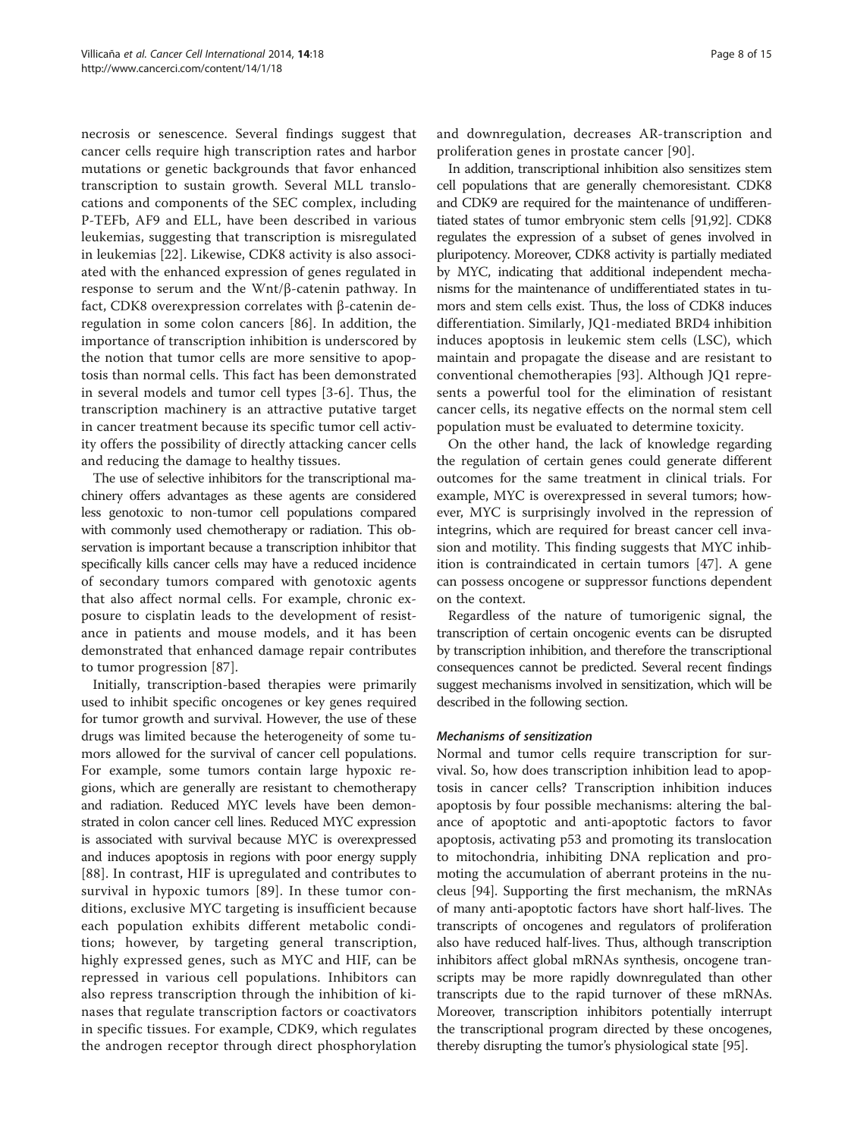necrosis or senescence. Several findings suggest that cancer cells require high transcription rates and harbor mutations or genetic backgrounds that favor enhanced transcription to sustain growth. Several MLL translocations and components of the SEC complex, including P-TEFb, AF9 and ELL, have been described in various leukemias, suggesting that transcription is misregulated in leukemias [[22\]](#page-11-0). Likewise, CDK8 activity is also associated with the enhanced expression of genes regulated in response to serum and the Wnt/β-catenin pathway. In fact, CDK8 overexpression correlates with β-catenin deregulation in some colon cancers [\[86](#page-13-0)]. In addition, the importance of transcription inhibition is underscored by the notion that tumor cells are more sensitive to apoptosis than normal cells. This fact has been demonstrated in several models and tumor cell types [[3-6](#page-11-0)]. Thus, the transcription machinery is an attractive putative target in cancer treatment because its specific tumor cell activity offers the possibility of directly attacking cancer cells and reducing the damage to healthy tissues.

The use of selective inhibitors for the transcriptional machinery offers advantages as these agents are considered less genotoxic to non-tumor cell populations compared with commonly used chemotherapy or radiation. This observation is important because a transcription inhibitor that specifically kills cancer cells may have a reduced incidence of secondary tumors compared with genotoxic agents that also affect normal cells. For example, chronic exposure to cisplatin leads to the development of resistance in patients and mouse models, and it has been demonstrated that enhanced damage repair contributes to tumor progression [[87\]](#page-13-0).

Initially, transcription-based therapies were primarily used to inhibit specific oncogenes or key genes required for tumor growth and survival. However, the use of these drugs was limited because the heterogeneity of some tumors allowed for the survival of cancer cell populations. For example, some tumors contain large hypoxic regions, which are generally are resistant to chemotherapy and radiation. Reduced MYC levels have been demonstrated in colon cancer cell lines. Reduced MYC expression is associated with survival because MYC is overexpressed and induces apoptosis in regions with poor energy supply [[88](#page-13-0)]. In contrast, HIF is upregulated and contributes to survival in hypoxic tumors [[89\]](#page-13-0). In these tumor conditions, exclusive MYC targeting is insufficient because each population exhibits different metabolic conditions; however, by targeting general transcription, highly expressed genes, such as MYC and HIF, can be repressed in various cell populations. Inhibitors can also repress transcription through the inhibition of kinases that regulate transcription factors or coactivators in specific tissues. For example, CDK9, which regulates the androgen receptor through direct phosphorylation

and downregulation, decreases AR-transcription and proliferation genes in prostate cancer [[90](#page-13-0)].

In addition, transcriptional inhibition also sensitizes stem cell populations that are generally chemoresistant. CDK8 and CDK9 are required for the maintenance of undifferentiated states of tumor embryonic stem cells [[91,92](#page-13-0)]. CDK8 regulates the expression of a subset of genes involved in pluripotency. Moreover, CDK8 activity is partially mediated by MYC, indicating that additional independent mechanisms for the maintenance of undifferentiated states in tumors and stem cells exist. Thus, the loss of CDK8 induces differentiation. Similarly, JQ1-mediated BRD4 inhibition induces apoptosis in leukemic stem cells (LSC), which maintain and propagate the disease and are resistant to conventional chemotherapies [\[93](#page-13-0)]. Although JQ1 represents a powerful tool for the elimination of resistant cancer cells, its negative effects on the normal stem cell population must be evaluated to determine toxicity.

On the other hand, the lack of knowledge regarding the regulation of certain genes could generate different outcomes for the same treatment in clinical trials. For example, MYC is overexpressed in several tumors; however, MYC is surprisingly involved in the repression of integrins, which are required for breast cancer cell invasion and motility. This finding suggests that MYC inhibition is contraindicated in certain tumors [[47](#page-12-0)]. A gene can possess oncogene or suppressor functions dependent on the context.

Regardless of the nature of tumorigenic signal, the transcription of certain oncogenic events can be disrupted by transcription inhibition, and therefore the transcriptional consequences cannot be predicted. Several recent findings suggest mechanisms involved in sensitization, which will be described in the following section.

#### Mechanisms of sensitization

Normal and tumor cells require transcription for survival. So, how does transcription inhibition lead to apoptosis in cancer cells? Transcription inhibition induces apoptosis by four possible mechanisms: altering the balance of apoptotic and anti-apoptotic factors to favor apoptosis, activating p53 and promoting its translocation to mitochondria, inhibiting DNA replication and promoting the accumulation of aberrant proteins in the nucleus [\[94\]](#page-13-0). Supporting the first mechanism, the mRNAs of many anti-apoptotic factors have short half-lives. The transcripts of oncogenes and regulators of proliferation also have reduced half-lives. Thus, although transcription inhibitors affect global mRNAs synthesis, oncogene transcripts may be more rapidly downregulated than other transcripts due to the rapid turnover of these mRNAs. Moreover, transcription inhibitors potentially interrupt the transcriptional program directed by these oncogenes, thereby disrupting the tumor's physiological state [\[95\]](#page-13-0).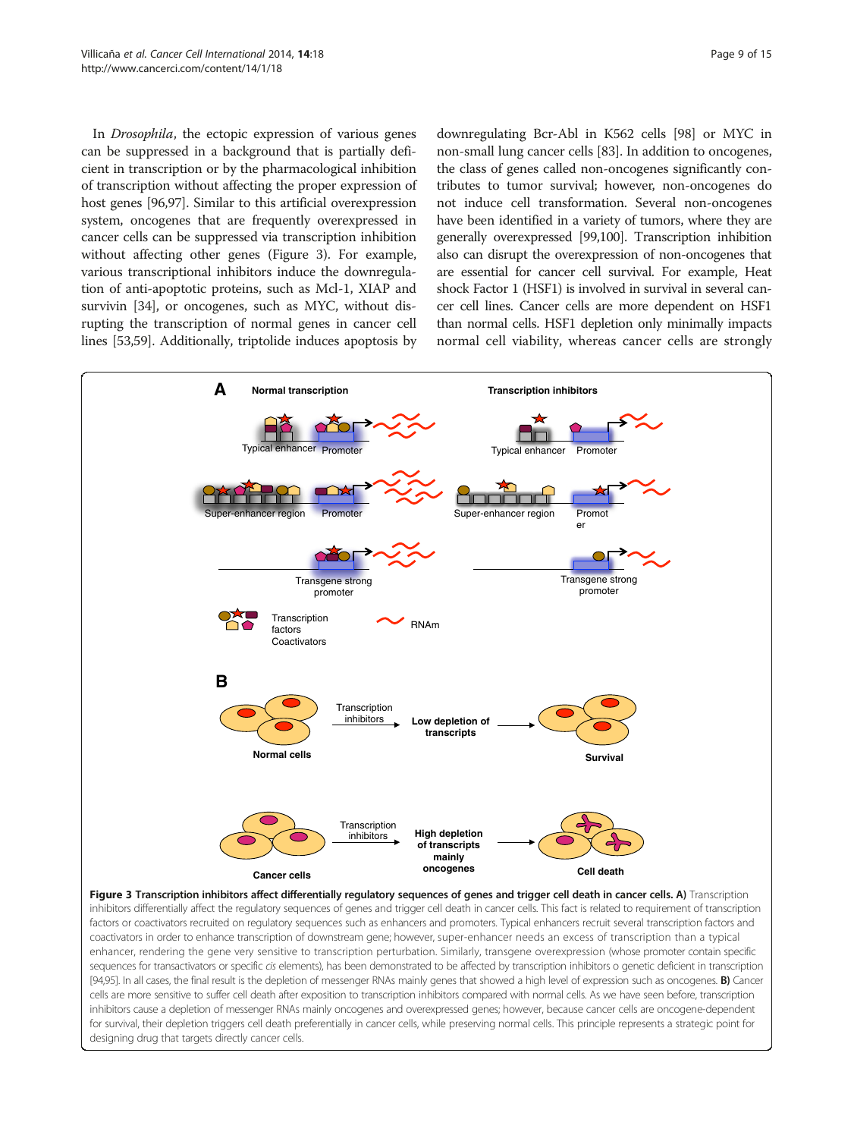<span id="page-8-0"></span>In Drosophila, the ectopic expression of various genes can be suppressed in a background that is partially deficient in transcription or by the pharmacological inhibition of transcription without affecting the proper expression of host genes [\[96,97\]](#page-13-0). Similar to this artificial overexpression system, oncogenes that are frequently overexpressed in cancer cells can be suppressed via transcription inhibition without affecting other genes (Figure 3). For example, various transcriptional inhibitors induce the downregulation of anti-apoptotic proteins, such as Mcl-1, XIAP and survivin [\[34\]](#page-11-0), or oncogenes, such as MYC, without disrupting the transcription of normal genes in cancer cell lines [[53,59\]](#page-12-0). Additionally, triptolide induces apoptosis by downregulating Bcr-Abl in K562 cells [[98](#page-13-0)] or MYC in non-small lung cancer cells [[83](#page-13-0)]. In addition to oncogenes, the class of genes called non-oncogenes significantly contributes to tumor survival; however, non-oncogenes do not induce cell transformation. Several non-oncogenes have been identified in a variety of tumors, where they are generally overexpressed [\[99,100\]](#page-13-0). Transcription inhibition also can disrupt the overexpression of non-oncogenes that are essential for cancer cell survival. For example, Heat shock Factor 1 (HSF1) is involved in survival in several cancer cell lines. Cancer cells are more dependent on HSF1 than normal cells. HSF1 depletion only minimally impacts normal cell viability, whereas cancer cells are strongly



Figure 3 Transcription inhibitors affect differentially regulatory sequences of genes and trigger cell death in cancer cells. A) Transcription inhibitors differentially affect the regulatory sequences of genes and trigger cell death in cancer cells. This fact is related to requirement of transcription factors or coactivators recruited on regulatory sequences such as enhancers and promoters. Typical enhancers recruit several transcription factors and coactivators in order to enhance transcription of downstream gene; however, super-enhancer needs an excess of transcription than a typical enhancer, rendering the gene very sensitive to transcription perturbation. Similarly, transgene overexpression (whose promoter contain specific sequences for transactivators or specific cis elements), has been demonstrated to be affected by transcription inhibitors o genetic deficient in transcription [[94,95\]](#page-13-0). In all cases, the final result is the depletion of messenger RNAs mainly genes that showed a high level of expression such as oncogenes. **B)** Cancer cells are more sensitive to suffer cell death after exposition to transcription inhibitors compared with normal cells. As we have seen before, transcription inhibitors cause a depletion of messenger RNAs mainly oncogenes and overexpressed genes; however, because cancer cells are oncogene-dependent for survival, their depletion triggers cell death preferentially in cancer cells, while preserving normal cells. This principle represents a strategic point for designing drug that targets directly cancer cells.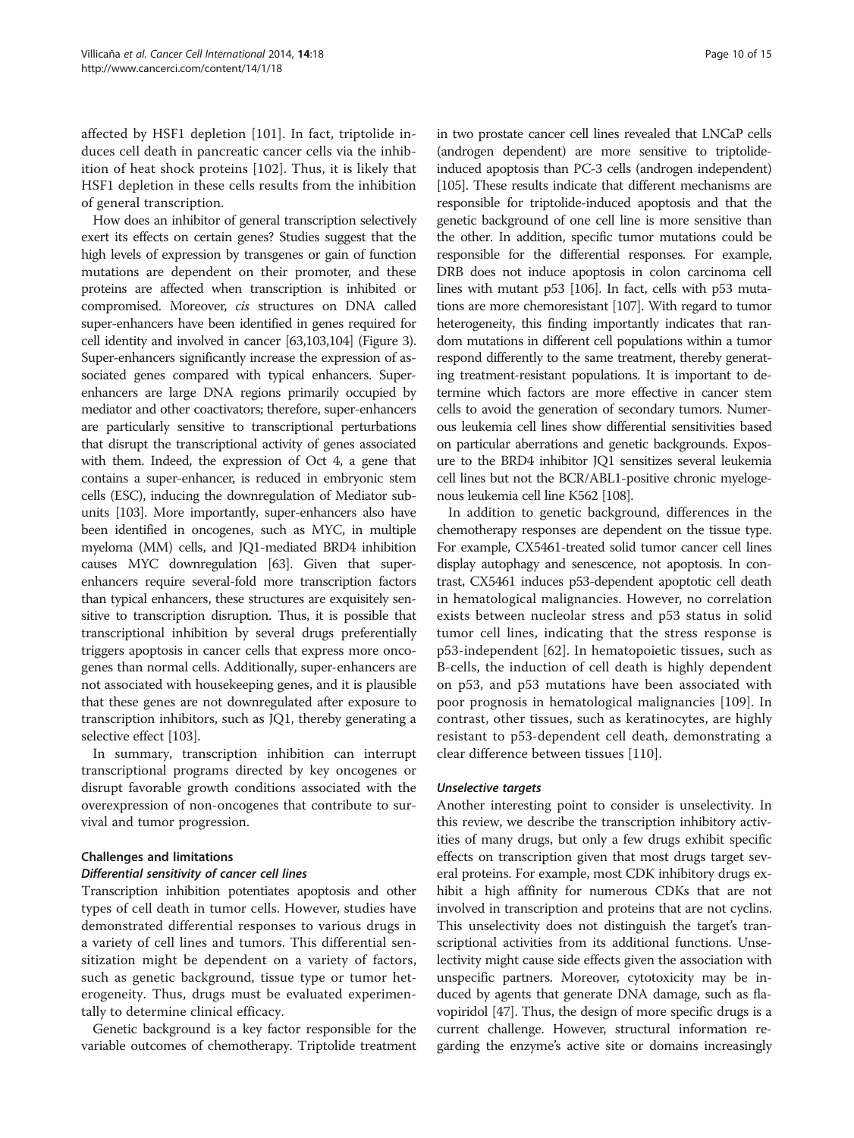affected by HSF1 depletion [[101\]](#page-13-0). In fact, triptolide induces cell death in pancreatic cancer cells via the inhibition of heat shock proteins [[102\]](#page-13-0). Thus, it is likely that HSF1 depletion in these cells results from the inhibition of general transcription.

How does an inhibitor of general transcription selectively exert its effects on certain genes? Studies suggest that the high levels of expression by transgenes or gain of function mutations are dependent on their promoter, and these proteins are affected when transcription is inhibited or compromised. Moreover, cis structures on DNA called super-enhancers have been identified in genes required for cell identity and involved in cancer [\[63](#page-12-0)[,103,104\]](#page-13-0) (Figure [3](#page-8-0)). Super-enhancers significantly increase the expression of associated genes compared with typical enhancers. Superenhancers are large DNA regions primarily occupied by mediator and other coactivators; therefore, super-enhancers are particularly sensitive to transcriptional perturbations that disrupt the transcriptional activity of genes associated with them. Indeed, the expression of Oct 4, a gene that contains a super-enhancer, is reduced in embryonic stem cells (ESC), inducing the downregulation of Mediator subunits [\[103\]](#page-13-0). More importantly, super-enhancers also have been identified in oncogenes, such as MYC, in multiple myeloma (MM) cells, and JQ1-mediated BRD4 inhibition causes MYC downregulation [\[63](#page-12-0)]. Given that superenhancers require several-fold more transcription factors than typical enhancers, these structures are exquisitely sensitive to transcription disruption. Thus, it is possible that transcriptional inhibition by several drugs preferentially triggers apoptosis in cancer cells that express more oncogenes than normal cells. Additionally, super-enhancers are not associated with housekeeping genes, and it is plausible that these genes are not downregulated after exposure to transcription inhibitors, such as JQ1, thereby generating a selective effect [\[103\]](#page-13-0).

In summary, transcription inhibition can interrupt transcriptional programs directed by key oncogenes or disrupt favorable growth conditions associated with the overexpression of non-oncogenes that contribute to survival and tumor progression.

# Challenges and limitations

#### Differential sensitivity of cancer cell lines

Transcription inhibition potentiates apoptosis and other types of cell death in tumor cells. However, studies have demonstrated differential responses to various drugs in a variety of cell lines and tumors. This differential sensitization might be dependent on a variety of factors, such as genetic background, tissue type or tumor heterogeneity. Thus, drugs must be evaluated experimentally to determine clinical efficacy.

Genetic background is a key factor responsible for the variable outcomes of chemotherapy. Triptolide treatment

in two prostate cancer cell lines revealed that LNCaP cells (androgen dependent) are more sensitive to triptolideinduced apoptosis than PC-3 cells (androgen independent) [[105\]](#page-13-0). These results indicate that different mechanisms are responsible for triptolide-induced apoptosis and that the genetic background of one cell line is more sensitive than the other. In addition, specific tumor mutations could be responsible for the differential responses. For example, DRB does not induce apoptosis in colon carcinoma cell lines with mutant p53 [\[106\]](#page-13-0). In fact, cells with p53 mutations are more chemoresistant [\[107](#page-13-0)]. With regard to tumor heterogeneity, this finding importantly indicates that random mutations in different cell populations within a tumor respond differently to the same treatment, thereby generating treatment-resistant populations. It is important to determine which factors are more effective in cancer stem cells to avoid the generation of secondary tumors. Numerous leukemia cell lines show differential sensitivities based on particular aberrations and genetic backgrounds. Exposure to the BRD4 inhibitor JQ1 sensitizes several leukemia cell lines but not the BCR/ABL1-positive chronic myelogenous leukemia cell line K562 [[108\]](#page-13-0).

In addition to genetic background, differences in the chemotherapy responses are dependent on the tissue type. For example, CX5461-treated solid tumor cancer cell lines display autophagy and senescence, not apoptosis. In contrast, CX5461 induces p53-dependent apoptotic cell death in hematological malignancies. However, no correlation exists between nucleolar stress and p53 status in solid tumor cell lines, indicating that the stress response is p53-independent [[62\]](#page-12-0). In hematopoietic tissues, such as B-cells, the induction of cell death is highly dependent on p53, and p53 mutations have been associated with poor prognosis in hematological malignancies [[109\]](#page-13-0). In contrast, other tissues, such as keratinocytes, are highly resistant to p53-dependent cell death, demonstrating a clear difference between tissues [\[110](#page-13-0)].

#### Unselective targets

Another interesting point to consider is unselectivity. In this review, we describe the transcription inhibitory activities of many drugs, but only a few drugs exhibit specific effects on transcription given that most drugs target several proteins. For example, most CDK inhibitory drugs exhibit a high affinity for numerous CDKs that are not involved in transcription and proteins that are not cyclins. This unselectivity does not distinguish the target's transcriptional activities from its additional functions. Unselectivity might cause side effects given the association with unspecific partners. Moreover, cytotoxicity may be induced by agents that generate DNA damage, such as flavopiridol [\[47\]](#page-12-0). Thus, the design of more specific drugs is a current challenge. However, structural information regarding the enzyme's active site or domains increasingly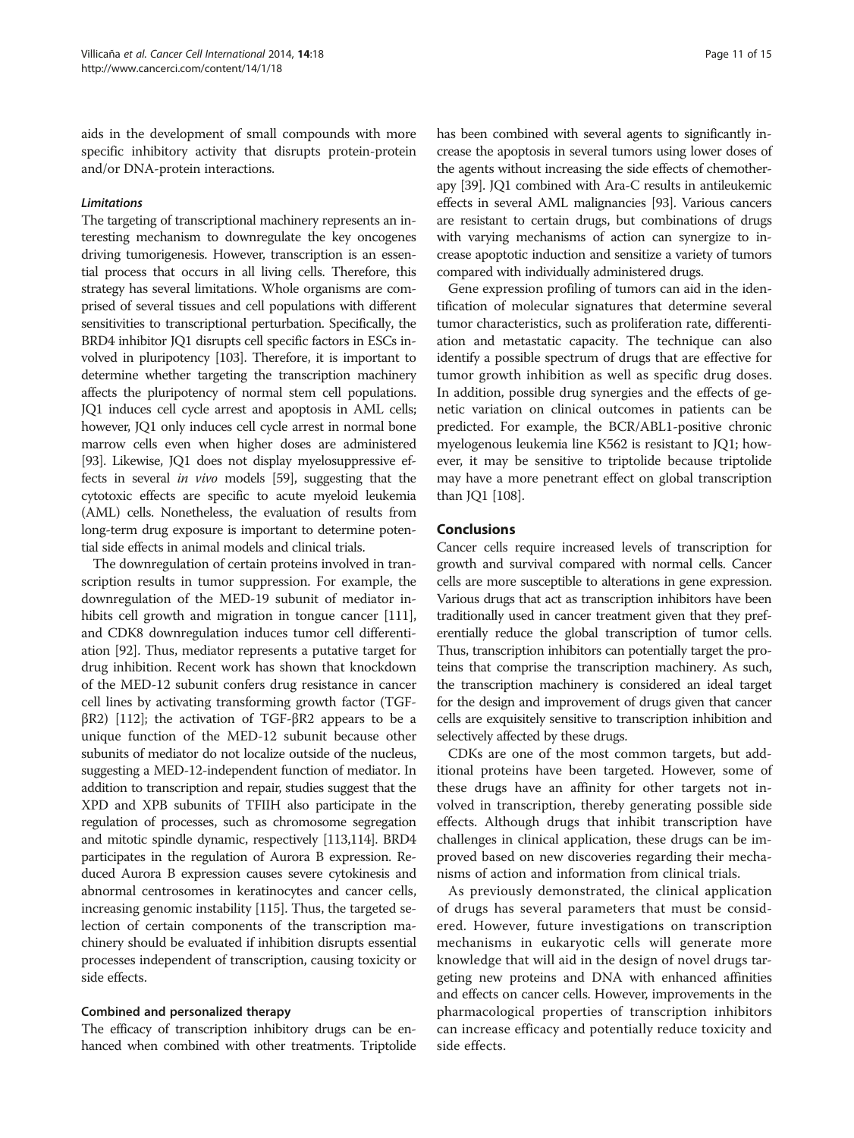aids in the development of small compounds with more specific inhibitory activity that disrupts protein-protein and/or DNA-protein interactions.

# Limitations

The targeting of transcriptional machinery represents an interesting mechanism to downregulate the key oncogenes driving tumorigenesis. However, transcription is an essential process that occurs in all living cells. Therefore, this strategy has several limitations. Whole organisms are comprised of several tissues and cell populations with different sensitivities to transcriptional perturbation. Specifically, the BRD4 inhibitor JQ1 disrupts cell specific factors in ESCs involved in pluripotency [\[103](#page-13-0)]. Therefore, it is important to determine whether targeting the transcription machinery affects the pluripotency of normal stem cell populations. JQ1 induces cell cycle arrest and apoptosis in AML cells; however, JQ1 only induces cell cycle arrest in normal bone marrow cells even when higher doses are administered [[93](#page-13-0)]. Likewise, JQ1 does not display myelosuppressive effects in several in vivo models [[59](#page-12-0)], suggesting that the cytotoxic effects are specific to acute myeloid leukemia (AML) cells. Nonetheless, the evaluation of results from long-term drug exposure is important to determine potential side effects in animal models and clinical trials.

The downregulation of certain proteins involved in transcription results in tumor suppression. For example, the downregulation of the MED-19 subunit of mediator in-hibits cell growth and migration in tongue cancer [[111](#page-13-0)], and CDK8 downregulation induces tumor cell differentiation [\[92\]](#page-13-0). Thus, mediator represents a putative target for drug inhibition. Recent work has shown that knockdown of the MED-12 subunit confers drug resistance in cancer cell lines by activating transforming growth factor (TGFβR2) [\[112\]](#page-13-0); the activation of TGF-βR2 appears to be a unique function of the MED-12 subunit because other subunits of mediator do not localize outside of the nucleus, suggesting a MED-12-independent function of mediator. In addition to transcription and repair, studies suggest that the XPD and XPB subunits of TFIIH also participate in the regulation of processes, such as chromosome segregation and mitotic spindle dynamic, respectively [\[113,114\]](#page-14-0). BRD4 participates in the regulation of Aurora B expression. Reduced Aurora B expression causes severe cytokinesis and abnormal centrosomes in keratinocytes and cancer cells, increasing genomic instability [\[115](#page-14-0)]. Thus, the targeted selection of certain components of the transcription machinery should be evaluated if inhibition disrupts essential processes independent of transcription, causing toxicity or side effects.

#### Combined and personalized therapy

The efficacy of transcription inhibitory drugs can be enhanced when combined with other treatments. Triptolide has been combined with several agents to significantly increase the apoptosis in several tumors using lower doses of the agents without increasing the side effects of chemotherapy [\[39\]](#page-12-0). JQ1 combined with Ara-C results in antileukemic effects in several AML malignancies [[93\]](#page-13-0). Various cancers are resistant to certain drugs, but combinations of drugs with varying mechanisms of action can synergize to increase apoptotic induction and sensitize a variety of tumors compared with individually administered drugs.

Gene expression profiling of tumors can aid in the identification of molecular signatures that determine several tumor characteristics, such as proliferation rate, differentiation and metastatic capacity. The technique can also identify a possible spectrum of drugs that are effective for tumor growth inhibition as well as specific drug doses. In addition, possible drug synergies and the effects of genetic variation on clinical outcomes in patients can be predicted. For example, the BCR/ABL1-positive chronic myelogenous leukemia line K562 is resistant to JQ1; however, it may be sensitive to triptolide because triptolide may have a more penetrant effect on global transcription than JQ1 [\[108\]](#page-13-0).

#### Conclusions

Cancer cells require increased levels of transcription for growth and survival compared with normal cells. Cancer cells are more susceptible to alterations in gene expression. Various drugs that act as transcription inhibitors have been traditionally used in cancer treatment given that they preferentially reduce the global transcription of tumor cells. Thus, transcription inhibitors can potentially target the proteins that comprise the transcription machinery. As such, the transcription machinery is considered an ideal target for the design and improvement of drugs given that cancer cells are exquisitely sensitive to transcription inhibition and selectively affected by these drugs.

CDKs are one of the most common targets, but additional proteins have been targeted. However, some of these drugs have an affinity for other targets not involved in transcription, thereby generating possible side effects. Although drugs that inhibit transcription have challenges in clinical application, these drugs can be improved based on new discoveries regarding their mechanisms of action and information from clinical trials.

As previously demonstrated, the clinical application of drugs has several parameters that must be considered. However, future investigations on transcription mechanisms in eukaryotic cells will generate more knowledge that will aid in the design of novel drugs targeting new proteins and DNA with enhanced affinities and effects on cancer cells. However, improvements in the pharmacological properties of transcription inhibitors can increase efficacy and potentially reduce toxicity and side effects.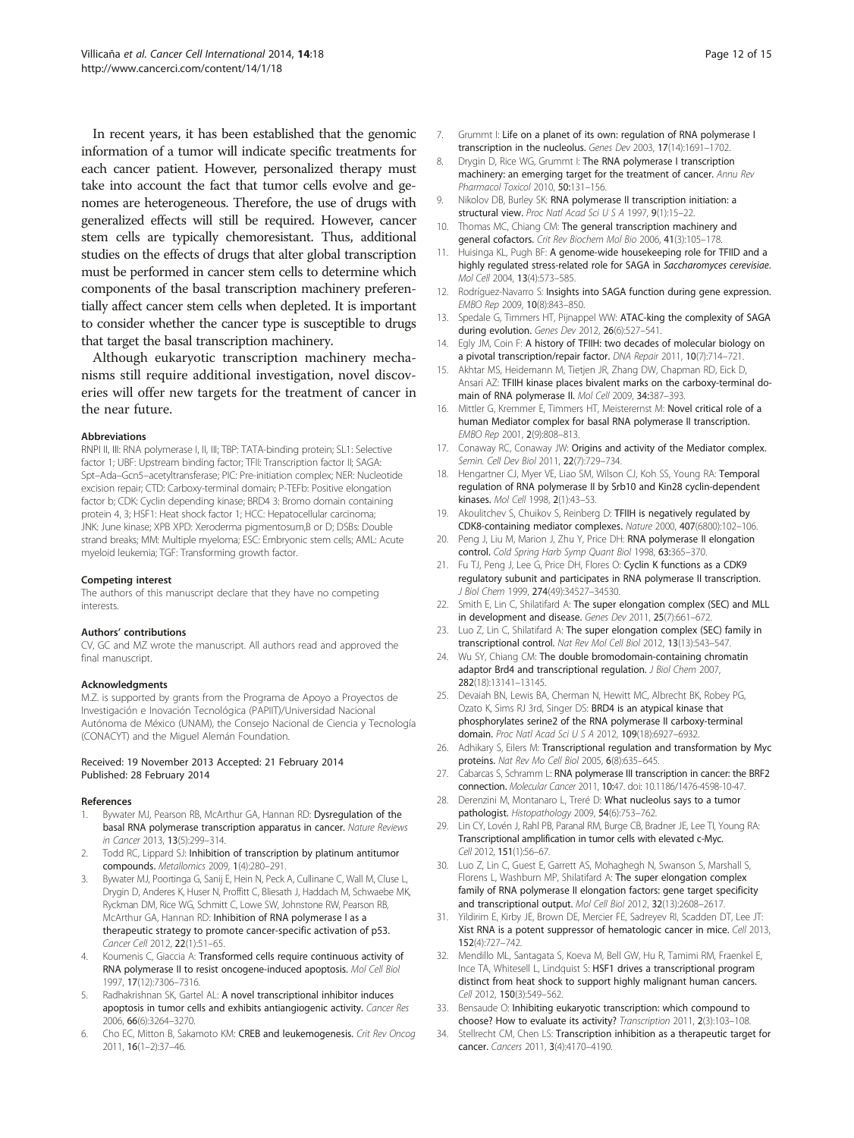<span id="page-11-0"></span>In recent years, it has been established that the genomic information of a tumor will indicate specific treatments for each cancer patient. However, personalized therapy must take into account the fact that tumor cells evolve and genomes are heterogeneous. Therefore, the use of drugs with generalized effects will still be required. However, cancer stem cells are typically chemoresistant. Thus, additional studies on the effects of drugs that alter global transcription must be performed in cancer stem cells to determine which components of the basal transcription machinery preferentially affect cancer stem cells when depleted. It is important to consider whether the cancer type is susceptible to drugs that target the basal transcription machinery.

Although eukaryotic transcription machinery mechanisms still require additional investigation, novel discoveries will offer new targets for the treatment of cancer in the near future.

#### Abbreviations

RNPI II, III: RNA polymerase I, II, III; TBP: TATA-binding protein; SL1: Selective factor 1; UBF: Upstream binding factor; TFII: Transcription factor II; SAGA: Spt–Ada–Gcn5–acetyltransferase; PIC: Pre-initiation complex; NER: Nucleotide excision repair; CTD: Carboxy-terminal domain; P-TEFb: Positive elongation factor b; CDK: Cyclin depending kinase; BRD4 3: Bromo domain containing protein 4, 3; HSF1: Heat shock factor 1; HCC: Hepatocellular carcinoma; JNK: June kinase; XPB XPD: Xeroderma pigmentosum,B or D; DSBs: Double strand breaks; MM: Multiple myeloma; ESC: Embryonic stem cells; AML: Acute myeloid leukemia; TGF: Transforming growth factor.

#### Competing interest

The authors of this manuscript declare that they have no competing interests.

#### Authors' contributions

CV, GC and MZ wrote the manuscript. All authors read and approved the final manuscript.

#### Acknowledgments

M.Z. is supported by grants from the Programa de Apoyo a Proyectos de Investigación e Inovación Tecnológica (PAPIIT)/Universidad Nacional Autónoma de México (UNAM), the Consejo Nacional de Ciencia y Tecnología (CONACYT) and the Miguel Alemán Foundation.

#### Received: 19 November 2013 Accepted: 21 February 2014 Published: 28 February 2014

#### References

- Bywater MJ, Pearson RB, McArthur GA, Hannan RD: Dysregulation of the basal RNA polymerase transcription apparatus in cancer. Nature Reviews in Cancer 2013, 13(5):299–314.
- 2. Todd RC, Lippard SJ: Inhibition of transcription by platinum antitumor compounds. Metallomics 2009, 1(4):280–291.
- Bywater MJ, Poortinga G, Sanij E, Hein N, Peck A, Cullinane C, Wall M, Cluse L, Drygin D, Anderes K, Huser N, Proffitt C, Bliesath J, Haddach M, Schwaebe MK, Ryckman DM, Rice WG, Schmitt C, Lowe SW, Johnstone RW, Pearson RB, McArthur GA, Hannan RD: Inhibition of RNA polymerase I as a therapeutic strategy to promote cancer-specific activation of p53. Cancer Cell 2012, 22(1):51–65.
- 4. Koumenis C, Giaccia A: Transformed cells require continuous activity of RNA polymerase II to resist oncogene-induced apoptosis. Mol Cell Biol 1997, 17(12):7306–7316.
- Radhakrishnan SK, Gartel AL: A novel transcriptional inhibitor induces apoptosis in tumor cells and exhibits antiangiogenic activity. Cancer Res 2006, 66(6):3264–3270.
- 6. Cho EC, Mitton B, Sakamoto KM: CREB and leukemogenesis. Crit Rev Oncog 2011, 16(1–2):37–46.
- 7. Grummt I: Life on a planet of its own: regulation of RNA polymerase I transcription in the nucleolus. Genes Dev 2003, 17(14):1691–1702.
- 8. Drygin D, Rice WG, Grummt I: The RNA polymerase I transcription machinery: an emerging target for the treatment of cancer. Annu Rev Pharmacol Toxicol 2010, 50:131–156.
- 9. Nikolov DB, Burley SK: RNA polymerase II transcription initiation: a structural view. Proc Natl Acad Sci U S A 1997, 9(1):15–22.
- 10. Thomas MC, Chiang CM: The general transcription machinery and general cofactors. Crit Rev Biochem Mol Bio 2006, 41(3):105–178.
- 11. Huisinga KL, Pugh BF: A genome-wide housekeeping role for TFIID and a highly regulated stress-related role for SAGA in Saccharomyces cerevisiae. Mol Cell 2004, 13(4):573–585.
- 12. Rodríguez-Navarro S: Insights into SAGA function during gene expression. EMBO Rep 2009, 10(8):843–850.
- 13. Spedale G, Timmers HT, Pijnappel WW: ATAC-king the complexity of SAGA during evolution. Genes Dev 2012, 26(6):527–541.
- 14. Egly JM, Coin F: A history of TFIIH: two decades of molecular biology on a pivotal transcription/repair factor. DNA Repair 2011, 10(7):714–721.
- 15. Akhtar MS, Heidemann M, Tietjen JR, Zhang DW, Chapman RD, Eick D, Ansari AZ: TFIIH kinase places bivalent marks on the carboxy-terminal domain of RNA polymerase II. Mol Cell 2009, 34:387-393.
- 16. Mittler G, Kremmer E, Timmers HT, Meisterernst M: Novel critical role of a human Mediator complex for basal RNA polymerase II transcription. EMBO Rep 2001, 2(9):808–813.
- 17. Conaway RC, Conaway JW: Origins and activity of the Mediator complex. Semin. Cell Dev Biol 2011, 22(7):729–734.
- 18. Hengartner CJ, Myer VE, Liao SM, Wilson CJ, Koh SS, Young RA: Temporal regulation of RNA polymerase II by Srb10 and Kin28 cyclin-dependent kinases. Mol Cell 1998, 2(1):43–53.
- 19. Akoulitchev S, Chuikov S, Reinberg D: TFIIH is negatively regulated by CDK8-containing mediator complexes. Nature 2000, 407(6800):102–106.
- 20. Peng J, Liu M, Marion J, Zhu Y, Price DH: RNA polymerase II elongation control. Cold Spring Harb Symp Quant Biol 1998, 63:365–370.
- 21. Fu TJ, Peng J, Lee G, Price DH, Flores O: Cyclin K functions as a CDK9 regulatory subunit and participates in RNA polymerase II transcription. J Biol Chem 1999, 274(49):34527-34530.
- 22. Smith E, Lin C, Shilatifard A: The super elongation complex (SEC) and MLL in development and disease. Genes Dev 2011, 25(7):661–672.
- 23. Luo Z, Lin C, Shilatifard A: The super elongation complex (SEC) family in transcriptional control. Nat Rev Mol Cell Biol 2012, 13(13):543–547.
- 24. Wu SY, Chiang CM: The double bromodomain-containing chromatin adaptor Brd4 and transcriptional regulation. J Biol Chem 2007, 282(18):13141–13145.
- 25. Devaiah BN, Lewis BA, Cherman N, Hewitt MC, Albrecht BK, Robey PG, Ozato K, Sims RJ 3rd, Singer DS: BRD4 is an atypical kinase that phosphorylates serine2 of the RNA polymerase II carboxy-terminal domain. Proc Natl Acad Sci U S A 2012, 109(18):6927–6932.
- 26. Adhikary S, Eilers M: Transcriptional regulation and transformation by Myc proteins. Nat Rev Mo Cell Biol 2005, 6(8):635–645.
- 27. Cabarcas S, Schramm L: RNA polymerase III transcription in cancer: the BRF2 connection. Molecular Cancer 2011, 10:47. doi: 10.1186/1476-4598-10-47.
- 28. Derenzini M, Montanaro L, Treré D: What nucleolus says to a tumor pathologist. Histopathology 2009, 54(6):753–762.
- 29. Lin CY, Lovén J, Rahl PB, Paranal RM, Burge CB, Bradner JE, Lee TI, Young RA: Transcriptional amplification in tumor cells with elevated c-Myc. Cell 2012, 151(1):56–67.
- 30. Luo Z, Lin C, Guest E, Garrett AS, Mohaghegh N, Swanson S, Marshall S, Florens L, Washburn MP, Shilatifard A: The super elongation complex family of RNA polymerase II elongation factors: gene target specificity and transcriptional output. Mol Cell Biol 2012, 32(13):2608–2617.
- 31. Yildirim E, Kirby JE, Brown DE, Mercier FE, Sadreyev RI, Scadden DT, Lee JT: Xist RNA is a potent suppressor of hematologic cancer in mice. Cell 2013, 152(4):727–742.
- 32. Mendillo ML, Santagata S, Koeva M, Bell GW, Hu R, Tamimi RM, Fraenkel E, Ince TA, Whitesell L, Lindquist S: HSF1 drives a transcriptional program distinct from heat shock to support highly malignant human cancers. Cell 2012, 150(3):549–562.
- 33. Bensaude O: Inhibiting eukaryotic transcription: which compound to choose? How to evaluate its activity? Transcription 2011, 2(3):103–108.
- 34. Stellrecht CM, Chen LS: Transcription inhibition as a therapeutic target for cancer. Cancers 2011, 3(4):4170–4190.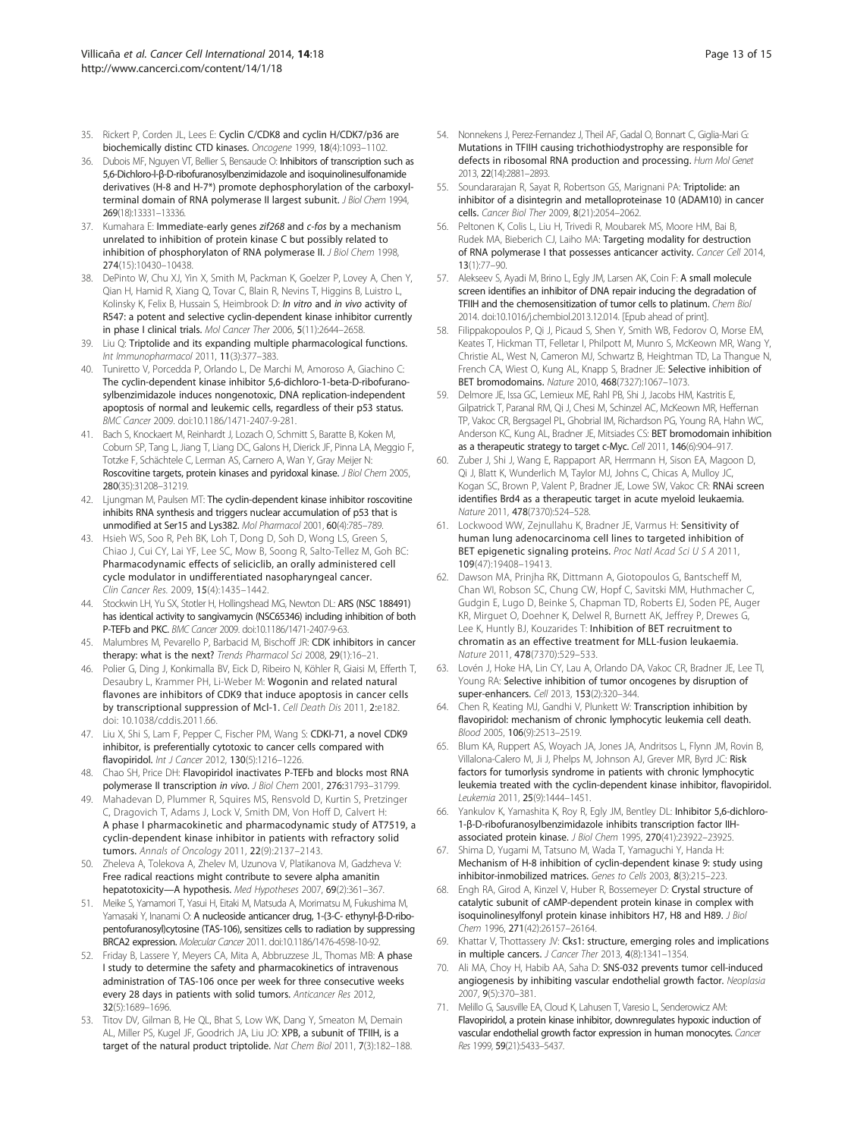- <span id="page-12-0"></span>35. Rickert P, Corden JL, Lees E: Cyclin C/CDK8 and cyclin H/CDK7/p36 are biochemically distinc CTD kinases. Oncogene 1999, 18(4):1093–1102.
- 36. Dubois MF, Nguyen VT, Bellier S, Bensaude O: Inhibitors of transcription such as 5,6-Dichloro-l-β-D-ribofuranosylbenzimidazole and isoquinolinesulfonamide derivatives (H-8 and H-7\*) promote dephosphorylation of the carboxylterminal domain of RNA polymerase II largest subunit. J Biol Chem 1994, 269(18):13331–13336.
- 37. Kumahara E: Immediate-early genes zif268 and c-fos by a mechanism unrelated to inhibition of protein kinase C but possibly related to inhibition of phosphorylaton of RNA polymerase II. J Biol Chem 1998, 274(15):10430–10438.
- 38. DePinto W, Chu XJ, Yin X, Smith M, Packman K, Goelzer P, Lovey A, Chen Y, Qian H, Hamid R, Xiang Q, Tovar C, Blain R, Nevins T, Higgins B, Luistro L, Kolinsky K, Felix B, Hussain S, Heimbrook D: In vitro and in vivo activity of R547: a potent and selective cyclin-dependent kinase inhibitor currently in phase I clinical trials. Mol Cancer Ther 2006, 5(11):2644–2658.
- 39. Liu Q: Triptolide and its expanding multiple pharmacological functions. Int Immunopharmacol 2011, 11(3):377–383.
- 40. Tuniretto V, Porcedda P, Orlando L, De Marchi M, Amoroso A, Giachino C: The cyclin-dependent kinase inhibitor 5,6-dichloro-1-beta-D-ribofuranosylbenzimidazole induces nongenotoxic, DNA replication-independent apoptosis of normal and leukemic cells, regardless of their p53 status. BMC Cancer 2009. doi:10.1186/1471-2407-9-281.
- 41. Bach S, Knockaert M, Reinhardt J, Lozach O, Schmitt S, Baratte B, Koken M, Coburn SP, Tang L, Jiang T, Liang DC, Galons H, Dierick JF, Pinna LA, Meggio F, Totzke F, Schächtele C, Lerman AS, Carnero A, Wan Y, Gray Meijer N: Roscovitine targets, protein kinases and pyridoxal kinase. J Biol Chem 2005, 280(35):31208–31219.
- 42. Ljungman M, Paulsen MT: The cyclin-dependent kinase inhibitor roscovitine inhibits RNA synthesis and triggers nuclear accumulation of p53 that is unmodified at Ser15 and Lys382. Mol Pharmacol 2001, 60(4):785–789.
- 43. Hsieh WS, Soo R, Peh BK, Loh T, Dong D, Soh D, Wong LS, Green S, Chiao J, Cui CY, Lai YF, Lee SC, Mow B, Soong R, Salto-Tellez M, Goh BC: Pharmacodynamic effects of seliciclib, an orally administered cell cycle modulator in undifferentiated nasopharyngeal cancer. Clin Cancer Res. 2009, 15(4):1435–1442.
- 44. Stockwin LH, Yu SX, Stotler H, Hollingshead MG, Newton DL: ARS (NSC 188491) has identical activity to sangivamycin (NSC65346) including inhibition of both P-TEFb and PKC. BMC Cancer 2009. doi:10.1186/1471-2407-9-63.
- 45. Malumbres M, Pevarello P, Barbacid M, Bischoff JR: CDK inhibitors in cancer therapy: what is the next? Trends Pharmacol Sci 2008, 29(1):16-21.
- 46. Polier G, Ding J, Konkimalla BV, Eick D, Ribeiro N, Köhler R, Giaisi M, Efferth T, Desaubry L, Krammer PH, Li-Weber M: Wogonin and related natural flavones are inhibitors of CDK9 that induce apoptosis in cancer cells by transcriptional suppression of Mcl-1. Cell Death Dis 2011, 2:e182. doi: 10.1038/cddis.2011.66.
- 47. Liu X, Shi S, Lam F, Pepper C, Fischer PM, Wang S: CDKI-71, a novel CDK9 inhibitor, is preferentially cytotoxic to cancer cells compared with flavopiridol. Int J Cancer 2012, 130(5):1216–1226.
- Chao SH, Price DH: Flavopiridol inactivates P-TEFb and blocks most RNA polymerase II transcription in vivo. J Biol Chem 2001, 276:31793-31799.
- 49. Mahadevan D, Plummer R, Squires MS, Rensvold D, Kurtin S, Pretzinger C, Dragovich T, Adams J, Lock V, Smith DM, Von Hoff D, Calvert H: A phase I pharmacokinetic and pharmacodynamic study of AT7519, a cyclin-dependent kinase inhibitor in patients with refractory solid tumors. Annals of Oncology 2011, 22(9):2137–2143.
- 50. Zheleva A, Tolekova A, Zhelev M, Uzunova V, Platikanova M, Gadzheva V: Free radical reactions might contribute to severe alpha amanitin hepatotoxicity—A hypothesis. Med Hypotheses 2007, 69(2):361–367.
- 51. Meike S, Yamamori T, Yasui H, Eitaki M, Matsuda A, Morimatsu M, Fukushima M, Yamasaki Y, Inanami O: A nucleoside anticancer drug, 1-(3-C- ethynyl-β-D-ribopentofuranosyl)cytosine (TAS-106), sensitizes cells to radiation by suppressing BRCA2 expression. Molecular Cancer 2011. doi:10.1186/1476-4598-10-92.
- 52. Friday B, Lassere Y, Meyers CA, Mita A, Abbruzzese JL, Thomas MB: A phase I study to determine the safety and pharmacokinetics of intravenous administration of TAS-106 once per week for three consecutive weeks every 28 days in patients with solid tumors. Anticancer Res 2012, 32(5):1689–1696.
- 53. Titov DV, Gilman B, He QL, Bhat S, Low WK, Dang Y, Smeaton M, Demain AL, Miller PS, Kugel JF, Goodrich JA, Liu JO: XPB, a subunit of TFIIH, is a target of the natural product triptolide. Nat Chem Biol 2011, 7(3):182-188.
- 54. Nonnekens J, Perez-Fernandez J, Theil AF, Gadal O, Bonnart C, Giglia-Mari G: Mutations in TFIIH causing trichothiodystrophy are responsible for defects in ribosomal RNA production and processing. Hum Mol Genet 2013, 22(14):2881–2893.
- 55. Soundararajan R, Sayat R, Robertson GS, Marignani PA: Triptolide: an inhibitor of a disintegrin and metalloproteinase 10 (ADAM10) in cancer cells. Cancer Biol Ther 2009, 8(21):2054–2062.
- Peltonen K, Colis L, Liu H, Trivedi R, Moubarek MS, Moore HM, Bai B, Rudek MA, Bieberich CJ, Laiho MA: Targeting modality for destruction of RNA polymerase I that possesses anticancer activity. Cancer Cell 2014, 13(1):77–90.
- 57. Alekseev S, Ayadi M, Brino L, Egly JM, Larsen AK, Coin F: A small molecule screen identifies an inhibitor of DNA repair inducing the degradation of TFIIH and the chemosensitization of tumor cells to platinum. Chem Biol 2014. doi:10.1016/j.chembiol.2013.12.014. [Epub ahead of print].
- 58. Filippakopoulos P, Qi J, Picaud S, Shen Y, Smith WB, Fedorov O, Morse EM, Keates T, Hickman TT, Felletar I, Philpott M, Munro S, McKeown MR, Wang Y, Christie AL, West N, Cameron MJ, Schwartz B, Heightman TD, La Thangue N, French CA, Wiest O, Kung AL, Knapp S, Bradner JE: Selective inhibition of BET bromodomains. Nature 2010, 468(7327):1067–1073.
- 59. Delmore JE, Issa GC, Lemieux ME, Rahl PB, Shi J, Jacobs HM, Kastritis E, Gilpatrick T, Paranal RM, Qi J, Chesi M, Schinzel AC, McKeown MR, Heffernan TP, Vakoc CR, Bergsagel PL, Ghobrial IM, Richardson PG, Young RA, Hahn WC, Anderson KC, Kung AL, Bradner JE, Mitsiades CS: BET bromodomain inhibition as a therapeutic strategy to target c-Myc. Cell 2011, 146(6):904–917.
- 60. Zuber J, Shi J, Wang E, Rappaport AR, Herrmann H, Sison EA, Magoon D, Qi J, Blatt K, Wunderlich M, Taylor MJ, Johns C, Chicas A, Mulloy JC, Kogan SC, Brown P, Valent P, Bradner JE, Lowe SW, Vakoc CR: RNAi screen identifies Brd4 as a therapeutic target in acute myeloid leukaemia. Nature 2011, 478(7370):524–528.
- 61. Lockwood WW, Zejnullahu K, Bradner JE, Varmus H: Sensitivity of human lung adenocarcinoma cell lines to targeted inhibition of BET epigenetic signaling proteins. Proc Natl Acad Sci U S A 2011, 109(47):19408–19413.
- 62. Dawson MA, Prinjha RK, Dittmann A, Giotopoulos G, Bantscheff M, Chan WI, Robson SC, Chung CW, Hopf C, Savitski MM, Huthmacher C, Gudgin E, Lugo D, Beinke S, Chapman TD, Roberts EJ, Soden PE, Auger KR, Mirguet O, Doehner K, Delwel R, Burnett AK, Jeffrey P, Drewes G, Lee K, Huntly BJ, Kouzarides T: Inhibition of BET recruitment to chromatin as an effective treatment for MLL-fusion leukaemia. Nature 2011, 478(7370):529–533.
- 63. Lovén J, Hoke HA, Lin CY, Lau A, Orlando DA, Vakoc CR, Bradner JE, Lee TI, Young RA: Selective inhibition of tumor oncogenes by disruption of super-enhancers. Cell 2013, 153(2):320–344.
- 64. Chen R, Keating MJ, Gandhi V, Plunkett W: Transcription inhibition by flavopiridol: mechanism of chronic lymphocytic leukemia cell death. Blood 2005, 106(9):2513–2519.
- 65. Blum KA, Ruppert AS, Woyach JA, Jones JA, Andritsos L, Flynn JM, Rovin B, Villalona-Calero M, Ji J, Phelps M, Johnson AJ, Grever MR, Byrd JC: Risk factors for tumorlysis syndrome in patients with chronic lymphocytic leukemia treated with the cyclin-dependent kinase inhibitor, flavopiridol. Leukemia 2011, 25(9):1444–1451.
- 66. Yankulov K, Yamashita K, Roy R, Egly JM, Bentley DL: Inhibitor 5,6-dichloro-1-β-D-ribofuranosylbenzimidazole inhibits transcription factor IIHassociated protein kinase. J Biol Chem 1995, 270(41):23922–23925.
- 67. Shima D, Yugami M, Tatsuno M, Wada T, Yamaguchi Y, Handa H: Mechanism of H-8 inhibition of cyclin-dependent kinase 9: study using inhibitor-inmobilized matrices. Genes to Cells 2003, 8(3):215–223.
- 68. Engh RA, Girod A, Kinzel V, Huber R, Bossemeyer D: Crystal structure of catalytic subunit of cAMP-dependent protein kinase in complex with isoquinolinesylfonyl protein kinase inhibitors H7, H8 and H89. J Biol Chem 1996, 271(42):26157–26164.
- 69. Khattar V, Thottassery JV: Cks1: structure, emerging roles and implications in multiple cancers. J Cancer Ther 2013, 4(8):1341-1354.
- 70. Ali MA, Choy H, Habib AA, Saha D: SNS-032 prevents tumor cell-induced angiogenesis by inhibiting vascular endothelial growth factor. Neoplasia 2007, 9(5):370–381.
- 71. Melillo G, Sausville EA, Cloud K, Lahusen T, Varesio L, Senderowicz AM: Flavopiridol, a protein kinase inhibitor, downregulates hypoxic induction of vascular endothelial growth factor expression in human monocytes. Cancer Res 1999, 59(21):5433–5437.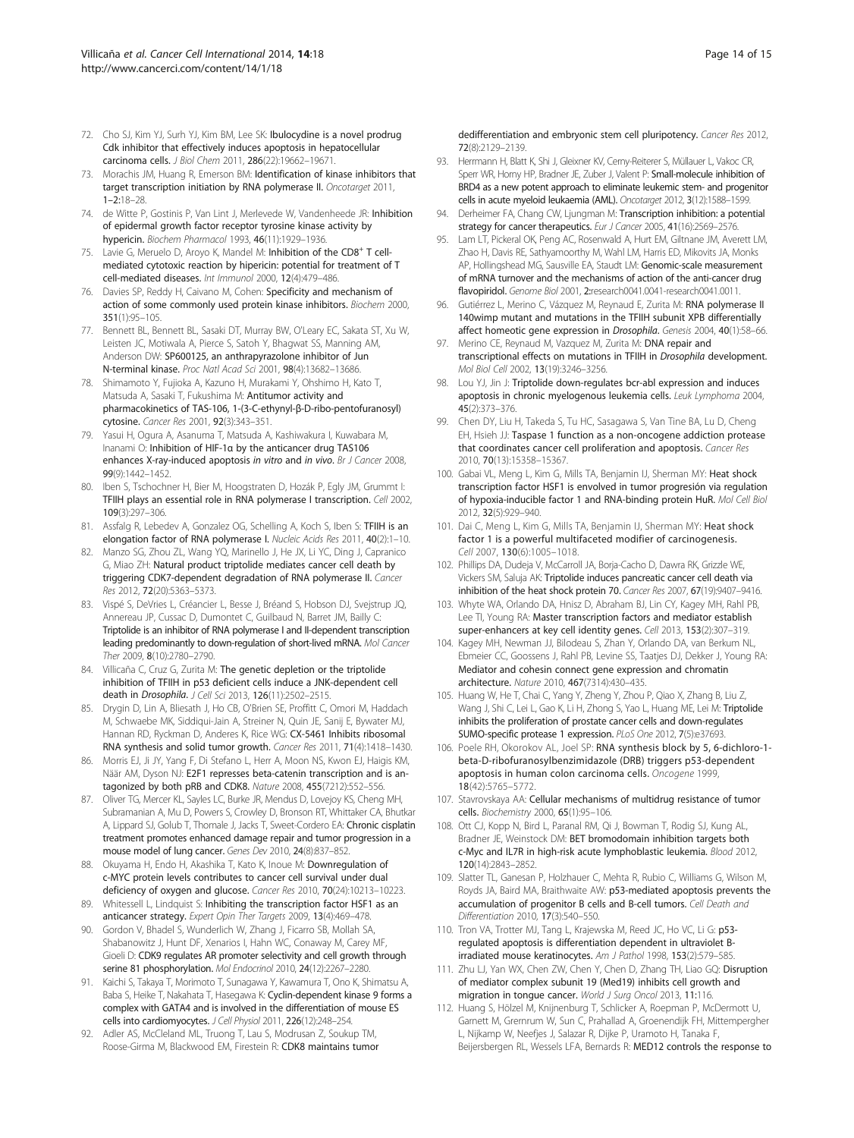- <span id="page-13-0"></span>72. Cho SJ, Kim YJ, Surh YJ, Kim BM, Lee SK: Ibulocydine is a novel prodrug Cdk inhibitor that effectively induces apoptosis in hepatocellular carcinoma cells. J Biol Chem 2011, 286(22):19662–19671.
- 73. Morachis JM, Huang R, Emerson BM: Identification of kinase inhibitors that target transcription initiation by RNA polymerase II. Oncotarget 2011, 1–2:18–28.
- 74. de Witte P, Gostinis P, Van Lint J, Merlevede W, Vandenheede JR: Inhibition of epidermal growth factor receptor tyrosine kinase activity by hypericin. Biochem Pharmacol 1993, 46(11):1929–1936.
- 75. Lavie G, Meruelo D, Aroyo K, Mandel M: Inhibition of the CD8<sup>+</sup> T cellmediated cytotoxic reaction by hipericin: potential for treatment of T cell-mediated diseases. Int Immunol 2000, 12(4):479–486.
- 76. Davies SP, Reddy H, Caivano M, Cohen: Specificity and mechanism of action of some commonly used protein kinase inhibitors. Biochem 2000, 351(1):95–105.
- 77. Bennett BL, Bennett BL, Sasaki DT, Murray BW, O'Leary EC, Sakata ST, Xu W, Leisten JC, Motiwala A, Pierce S, Satoh Y, Bhagwat SS, Manning AM, Anderson DW: SP600125, an anthrapyrazolone inhibitor of Jun N-terminal kinase. Proc Natl Acad Sci 2001, 98(4):13682–13686.
- 78. Shimamoto Y, Fujioka A, Kazuno H, Murakami Y, Ohshimo H, Kato T, Matsuda A, Sasaki T, Fukushima M: Antitumor activity and pharmacokinetics of TAS-106, 1-(3-C-ethynyl-β-D-ribo-pentofuranosyl) cytosine. Cancer Res 2001, 92(3):343–351.
- 79. Yasui H, Ogura A, Asanuma T, Matsuda A, Kashiwakura I, Kuwabara M, Inanami O: Inhibition of HIF-1α by the anticancer drug TAS106 enhances X-ray-induced apoptosis in vitro and in vivo. Br J Cancer 2008, 99(9):1442–1452.
- 80. Iben S, Tschochner H, Bier M, Hoogstraten D, Hozák P, Egly JM, Grummt I: TFIIH plays an essential role in RNA polymerase I transcription. Cell 2002, 109(3):297–306.
- 81. Assfalg R, Lebedev A, Gonzalez OG, Schelling A, Koch S, Iben S: TFIIH is an elongation factor of RNA polymerase I. Nucleic Acids Res 2011, 40(2):1–10.
- 82. Manzo SG, Zhou ZL, Wang YQ, Marinello J, He JX, Li YC, Ding J, Capranico G, Miao ZH: Natural product triptolide mediates cancer cell death by triggering CDK7-dependent degradation of RNA polymerase II. Cancer Res 2012, 72(20):5363–5373.
- 83. Vispé S, DeVries L, Créancier L, Besse J, Bréand S, Hobson DJ, Svejstrup JQ, Annereau JP, Cussac D, Dumontet C, Guilbaud N, Barret JM, Bailly C: Triptolide is an inhibitor of RNA polymerase I and II-dependent transcription leading predominantly to down-regulation of short-lived mRNA. Mol Cancer Ther 2009, 8(10):2780–2790.
- 84. Villicaña C, Cruz G, Zurita M: The genetic depletion or the triptolide inhibition of TFIIH in p53 deficient cells induce a JNK-dependent cell death in Drosophila. J Cell Sci 2013, 126(11):2502–2515.
- 85. Drygin D, Lin A, Bliesath J, Ho CB, O'Brien SE, Proffitt C, Omori M, Haddach M, Schwaebe MK, Siddiqui-Jain A, Streiner N, Quin JE, Sanij E, Bywater MJ, Hannan RD, Ryckman D, Anderes K, Rice WG: CX-5461 Inhibits ribosomal RNA synthesis and solid tumor growth. Cancer Res 2011, 71(4):1418–1430.
- 86. Morris EJ, Ji JY, Yang F, Di Stefano L, Herr A, Moon NS, Kwon EJ, Haigis KM, Näär AM, Dyson NJ: E2F1 represses beta-catenin transcription and is antagonized by both pRB and CDK8. Nature 2008, 455(7212):552–556.
- 87. Oliver TG, Mercer KL, Sayles LC, Burke JR, Mendus D, Lovejoy KS, Cheng MH, Subramanian A, Mu D, Powers S, Crowley D, Bronson RT, Whittaker CA, Bhutkar A, Lippard SJ, Golub T, Thomale J, Jacks T, Sweet-Cordero EA: Chronic cisplatin treatment promotes enhanced damage repair and tumor progression in a mouse model of lung cancer. Genes Dev 2010, 24(8):837–852.
- 88. Okuyama H, Endo H, Akashika T, Kato K, Inoue M: Downregulation of c-MYC protein levels contributes to cancer cell survival under dual deficiency of oxygen and glucose. Cancer Res 2010, 70(24):10213–10223.
- 89. Whitessell L, Lindquist S: Inhibiting the transcription factor HSF1 as an anticancer strategy. Expert Opin Ther Targets 2009, 13(4):469–478.
- 90. Gordon V, Bhadel S, Wunderlich W, Zhang J, Ficarro SB, Mollah SA, Shabanowitz J, Hunt DF, Xenarios I, Hahn WC, Conaway M, Carey MF, Gioeli D: CDK9 regulates AR promoter selectivity and cell growth through serine 81 phosphorylation. Mol Endocrinol 2010, 24(12):2267–2280.
- 91. Kaichi S, Takaya T, Morimoto T, Sunagawa Y, Kawamura T, Ono K, Shimatsu A, Baba S, Heike T, Nakahata T, Hasegawa K: Cyclin-dependent kinase 9 forms a complex with GATA4 and is involved in the differentiation of mouse ES cells into cardiomyocytes. J Cell Physiol 2011, 226(12):248–254.
- 92. Adler AS, McCleland ML, Truong T, Lau S, Modrusan Z, Soukup TM, Roose-Girma M, Blackwood EM, Firestein R: CDK8 maintains tumor

dedifferentiation and embryonic stem cell pluripotency. Cancer Res 2012, 72(8):2129–2139.

- 93. Herrmann H, Blatt K, Shi J, Gleixner KV, Cerny-Reiterer S, Müllauer L, Vakoc CR, Sperr WR, Horny HP, Bradner JE, Zuber J, Valent P: Small-molecule inhibition of BRD4 as a new potent approach to eliminate leukemic stem- and progenitor cells in acute myeloid leukaemia (AML). Oncotarget 2012, 3(12):1588–1599.
- 94. Derheimer FA, Chang CW, Ljungman M: Transcription inhibition: a potential strategy for cancer therapeutics. Eur J Cancer 2005, 41(16):2569-2576.
- 95. Lam LT, Pickeral OK, Peng AC, Rosenwald A, Hurt EM, Giltnane JM, Averett LM, Zhao H, Davis RE, Sathyamoorthy M, Wahl LM, Harris ED, Mikovits JA, Monks AP, Hollingshead MG, Sausville EA, Staudt LM: Genomic-scale measurement of mRNA turnover and the mechanisms of action of the anti-cancer drug flavopiridol. Genome Biol 2001, 2:research0041.0041-research0041.0011.
- 96. Gutiérrez L, Merino C, Vázquez M, Reynaud E, Zurita M: RNA polymerase II 140wimp mutant and mutations in the TFIIH subunit XPB differentially affect homeotic gene expression in Drosophila. Genesis 2004, 40(1):58–66.
- 97. Merino CE, Reynaud M, Vazquez M, Zurita M: DNA repair and transcriptional effects on mutations in TFIIH in Drosophila development. Mol Biol Cell 2002, 13(19):3246–3256.
- 98. Lou YJ, Jin J: Triptolide down-regulates bcr-abl expression and induces apoptosis in chronic myelogenous leukemia cells. Leuk Lymphoma 2004, 45(2):373–376.
- 99. Chen DY, Liu H, Takeda S, Tu HC, Sasagawa S, Van Tine BA, Lu D, Cheng EH, Hsieh JJ: Taspase 1 function as a non-oncogene addiction protease that coordinates cancer cell proliferation and apoptosis. Cancer Res 2010, 70(13):15358–15367.
- 100. Gabai VL, Meng L, Kim G, Mills TA, Benjamin IJ, Sherman MY: Heat shock transcription factor HSF1 is envolved in tumor progresión via regulation of hypoxia-inducible factor 1 and RNA-binding protein HuR. Mol Cell Biol 2012, 32(5):929–940.
- 101. Dai C, Meng L, Kim G, Mills TA, Benjamin IJ, Sherman MY: Heat shock factor 1 is a powerful multifaceted modifier of carcinogenesis. Cell 2007, 130(6):1005–1018.
- 102. Phillips DA, Dudeja V, McCarroll JA, Borja-Cacho D, Dawra RK, Grizzle WE, Vickers SM, Saluja AK: Triptolide induces pancreatic cancer cell death via inhibition of the heat shock protein 70. Cancer Res 2007, 67(19):9407–9416.
- 103. Whyte WA, Orlando DA, Hnisz D, Abraham BJ, Lin CY, Kagey MH, Rahl PB, Lee TI, Young RA: Master transcription factors and mediator establish super-enhancers at key cell identity genes. Cell 2013, 153(2):307–319.
- 104. Kagey MH, Newman JJ, Bilodeau S, Zhan Y, Orlando DA, van Berkum NL, Ebmeier CC, Goossens J, Rahl PB, Levine SS, Taatjes DJ, Dekker J, Young RA: Mediator and cohesin connect gene expression and chromatin architecture. Nature 2010, 467(7314):430–435.
- 105. Huang W, He T, Chai C, Yang Y, Zheng Y, Zhou P, Qiao X, Zhang B, Liu Z, Wang J, Shi C, Lei L, Gao K, Li H, Zhong S, Yao L, Huang ME, Lei M: Triptolide inhibits the proliferation of prostate cancer cells and down-regulates SUMO-specific protease 1 expression. PLoS One 2012, 7(5):e37693.
- 106. Poele RH, Okorokov AL, Joel SP: RNA synthesis block by 5, 6-dichloro-1 beta-D-ribofuranosylbenzimidazole (DRB) triggers p53-dependent apoptosis in human colon carcinoma cells. Oncogene 1999, 18(42):5765–5772.
- 107. Stavrovskaya AA: Cellular mechanisms of multidrug resistance of tumor cells. Biochemistry 2000, 65(1):95–106.
- 108. Ott CJ, Kopp N, Bird L, Paranal RM, Qi J, Bowman T, Rodig SJ, Kung AL, Bradner JE, Weinstock DM: BET bromodomain inhibition targets both c-Myc and IL7R in high-risk acute lymphoblastic leukemia. Blood 2012, 120(14):2843–2852.
- 109. Slatter TL, Ganesan P, Holzhauer C, Mehta R, Rubio C, Williams G, Wilson M, Royds JA, Baird MA, Braithwaite AW: p53-mediated apoptosis prevents the accumulation of progenitor B cells and B-cell tumors. Cell Death and Differentiation 2010, 17(3):540–550.
- 110. Tron VA, Trotter MJ, Tang L, Krajewska M, Reed JC, Ho VC, Li G: p53 regulated apoptosis is differentiation dependent in ultraviolet Birradiated mouse keratinocytes. Am J Pathol 1998, 153(2):579–585.
- 111. Zhu LJ, Yan WX, Chen ZW, Chen Y, Chen D, Zhang TH, Liao GQ: Disruption of mediator complex subunit 19 (Med19) inhibits cell growth and migration in tongue cancer. World J Surg Oncol 2013, 11:116.
- 112. Huang S, Hölzel M, Knijnenburg T, Schlicker A, Roepman P, McDermott U, Garnett M, Grernrum W, Sun C, Prahallad A, Groenendijk FH, Mittempergher L, Nijkamp W, Neefjes J, Salazar R, Dijke P, Uramoto H, Tanaka F, Beijersbergen RL, Wessels LFA, Bernards R: MED12 controls the response to